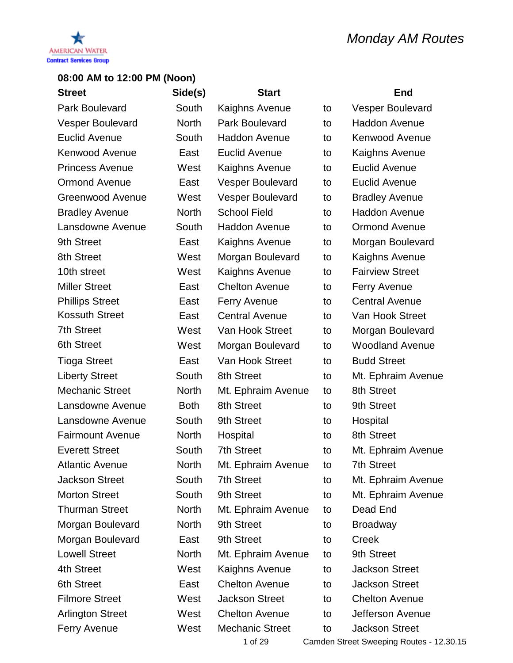

| <b>Street</b>           | Side(s)      | <b>Start</b>            |    | <b>End</b>              |
|-------------------------|--------------|-------------------------|----|-------------------------|
| <b>Park Boulevard</b>   | South        | Kaighns Avenue          | to | <b>Vesper Boulevard</b> |
| <b>Vesper Boulevard</b> | North        | Park Boulevard          | to | <b>Haddon Avenue</b>    |
| <b>Euclid Avenue</b>    | South        | <b>Haddon Avenue</b>    | to | <b>Kenwood Avenue</b>   |
| <b>Kenwood Avenue</b>   | East         | <b>Euclid Avenue</b>    | to | Kaighns Avenue          |
| <b>Princess Avenue</b>  | West         | Kaighns Avenue          | to | <b>Euclid Avenue</b>    |
| <b>Ormond Avenue</b>    | East         | <b>Vesper Boulevard</b> | to | Euclid Avenue           |
| <b>Greenwood Avenue</b> | West         | <b>Vesper Boulevard</b> | to | <b>Bradley Avenue</b>   |
| <b>Bradley Avenue</b>   | <b>North</b> | <b>School Field</b>     | to | <b>Haddon Avenue</b>    |
| Lansdowne Avenue        | South        | Haddon Avenue           | to | <b>Ormond Avenue</b>    |
| 9th Street              | East         | Kaighns Avenue          | to | Morgan Boulevard        |
| 8th Street              | West         | Morgan Boulevard        | to | Kaighns Avenue          |
| 10th street             | West         | Kaighns Avenue          | to | <b>Fairview Street</b>  |
| <b>Miller Street</b>    | East         | <b>Chelton Avenue</b>   | to | <b>Ferry Avenue</b>     |
| <b>Phillips Street</b>  | East         | <b>Ferry Avenue</b>     | to | <b>Central Avenue</b>   |
| <b>Kossuth Street</b>   | East         | <b>Central Avenue</b>   | to | Van Hook Street         |
| <b>7th Street</b>       | West         | Van Hook Street         | to | Morgan Boulevard        |
| <b>6th Street</b>       | West         | Morgan Boulevard        | to | <b>Woodland Avenue</b>  |
| <b>Tioga Street</b>     | East         | Van Hook Street         | to | <b>Budd Street</b>      |
| <b>Liberty Street</b>   | South        | 8th Street              | to | Mt. Ephraim Avenue      |
| <b>Mechanic Street</b>  | <b>North</b> | Mt. Ephraim Avenue      | to | 8th Street              |
| Lansdowne Avenue        | <b>Both</b>  | 8th Street              | to | 9th Street              |
| Lansdowne Avenue        | South        | 9th Street              | to | Hospital                |
| <b>Fairmount Avenue</b> | <b>North</b> | Hospital                | to | 8th Street              |
| <b>Everett Street</b>   | South        | <b>7th Street</b>       | to | Mt. Ephraim Avenue      |
| <b>Atlantic Avenue</b>  | <b>North</b> | Mt. Ephraim Avenue      | to | <b>7th Street</b>       |
| <b>Jackson Street</b>   | South        | <b>7th Street</b>       | to | Mt. Ephraim Avenue      |
| <b>Morton Street</b>    | South        | 9th Street              | to | Mt. Ephraim Avenue      |
| <b>Thurman Street</b>   | <b>North</b> | Mt. Ephraim Avenue      | to | Dead End                |
| Morgan Boulevard        | <b>North</b> | 9th Street              | to | <b>Broadway</b>         |
| Morgan Boulevard        | East         | 9th Street              | to | Creek                   |
| <b>Lowell Street</b>    | <b>North</b> | Mt. Ephraim Avenue      | to | 9th Street              |
| 4th Street              | West         | Kaighns Avenue          | to | <b>Jackson Street</b>   |
| 6th Street              | East         | <b>Chelton Avenue</b>   | to | <b>Jackson Street</b>   |
| <b>Filmore Street</b>   | West         | <b>Jackson Street</b>   | to | <b>Chelton Avenue</b>   |
| <b>Arlington Street</b> | West         | <b>Chelton Avenue</b>   | to | Jefferson Avenue        |
| <b>Ferry Avenue</b>     | West         | <b>Mechanic Street</b>  | to | <b>Jackson Street</b>   |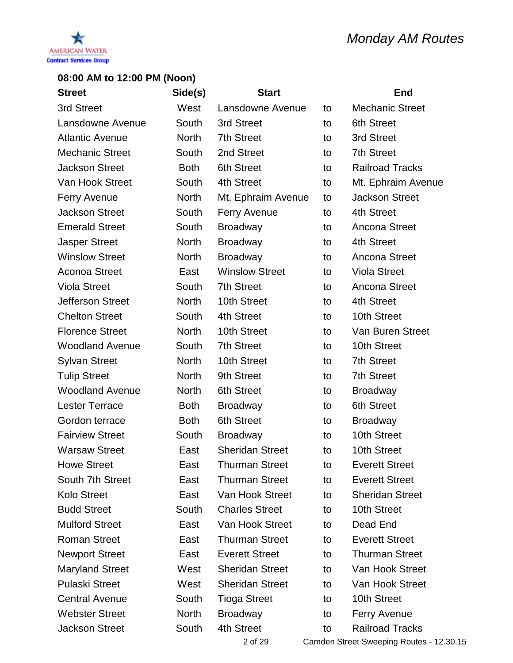

| <b>Street</b>           | Side(s)      | <b>Start</b>           |    | <b>End</b>                               |
|-------------------------|--------------|------------------------|----|------------------------------------------|
| 3rd Street              | West         | Lansdowne Avenue       | to | <b>Mechanic Street</b>                   |
| Lansdowne Avenue        | South        | 3rd Street             | to | <b>6th Street</b>                        |
| <b>Atlantic Avenue</b>  | <b>North</b> | 7th Street             | to | 3rd Street                               |
| <b>Mechanic Street</b>  | South        | 2nd Street             | to | <b>7th Street</b>                        |
| <b>Jackson Street</b>   | <b>Both</b>  | 6th Street             | to | <b>Railroad Tracks</b>                   |
| Van Hook Street         | South        | 4th Street             | to | Mt. Ephraim Avenue                       |
| <b>Ferry Avenue</b>     | <b>North</b> | Mt. Ephraim Avenue     | to | <b>Jackson Street</b>                    |
| <b>Jackson Street</b>   | South        | <b>Ferry Avenue</b>    | to | 4th Street                               |
| <b>Emerald Street</b>   | South        | <b>Broadway</b>        | to | <b>Ancona Street</b>                     |
| <b>Jasper Street</b>    | <b>North</b> | <b>Broadway</b>        | to | 4th Street                               |
| <b>Winslow Street</b>   | <b>North</b> | <b>Broadway</b>        | to | <b>Ancona Street</b>                     |
| <b>Aconoa Street</b>    | East         | <b>Winslow Street</b>  | to | <b>Viola Street</b>                      |
| <b>Viola Street</b>     | South        | <b>7th Street</b>      | to | Ancona Street                            |
| <b>Jefferson Street</b> | <b>North</b> | 10th Street            | to | 4th Street                               |
| <b>Chelton Street</b>   | South        | 4th Street             | to | 10th Street                              |
| <b>Florence Street</b>  | <b>North</b> | 10th Street            | to | Van Buren Street                         |
| <b>Woodland Avenue</b>  | South        | <b>7th Street</b>      | to | 10th Street                              |
| <b>Sylvan Street</b>    | <b>North</b> | 10th Street            | to | <b>7th Street</b>                        |
| <b>Tulip Street</b>     | <b>North</b> | 9th Street             | to | <b>7th Street</b>                        |
| <b>Woodland Avenue</b>  | <b>North</b> | 6th Street             | to | <b>Broadway</b>                          |
| <b>Lester Terrace</b>   | <b>Both</b>  | <b>Broadway</b>        | to | <b>6th Street</b>                        |
| Gordon terrace          | <b>Both</b>  | <b>6th Street</b>      | to | <b>Broadway</b>                          |
| <b>Fairview Street</b>  | South        | <b>Broadway</b>        | to | 10th Street                              |
| <b>Warsaw Street</b>    | East         | <b>Sheridan Street</b> | to | 10th Street                              |
| <b>Howe Street</b>      | East         | <b>Thurman Street</b>  | to | <b>Everett Street</b>                    |
| South 7th Street        | East         | <b>Thurman Street</b>  | to | <b>Everett Street</b>                    |
| <b>Kolo Street</b>      | East         | Van Hook Street        | to | <b>Sheridan Street</b>                   |
| <b>Budd Street</b>      | South        | <b>Charles Street</b>  | to | 10th Street                              |
| <b>Mulford Street</b>   | East         | Van Hook Street        | to | Dead End                                 |
| <b>Roman Street</b>     | East         | <b>Thurman Street</b>  | to | <b>Everett Street</b>                    |
| <b>Newport Street</b>   | East         | <b>Everett Street</b>  | to | <b>Thurman Street</b>                    |
| <b>Maryland Street</b>  | West         | <b>Sheridan Street</b> | to | Van Hook Street                          |
| <b>Pulaski Street</b>   | West         | <b>Sheridan Street</b> | to | Van Hook Street                          |
| <b>Central Avenue</b>   | South        | <b>Tioga Street</b>    | to | 10th Street                              |
| <b>Webster Street</b>   | <b>North</b> | <b>Broadway</b>        | to | <b>Ferry Avenue</b>                      |
| <b>Jackson Street</b>   | South        | 4th Street             | to | <b>Railroad Tracks</b>                   |
|                         |              | 2 of 29                |    | Camden Street Sweeping Routes - 12.30.15 |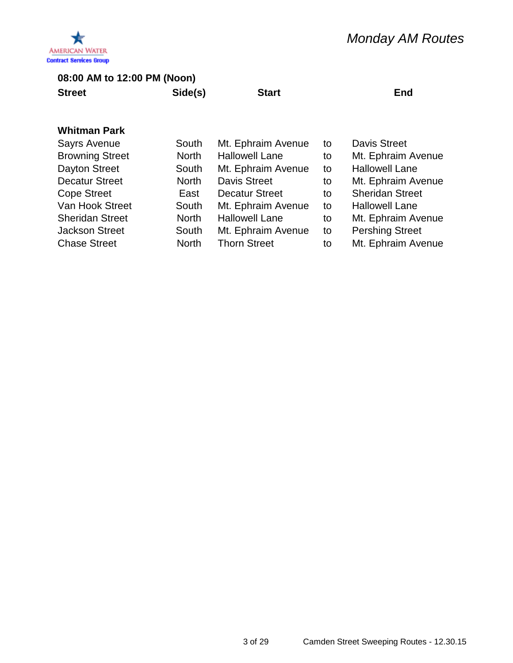

**Street Side(s) Start End**

| Sayrs Avenue           | South        | Mt. Ephraim Avenue    | to | Davis Street           |
|------------------------|--------------|-----------------------|----|------------------------|
| <b>Browning Street</b> | <b>North</b> | <b>Hallowell Lane</b> | to | Mt. Ephraim Avenue     |
| <b>Dayton Street</b>   | South        | Mt. Ephraim Avenue    | to | <b>Hallowell Lane</b>  |
| <b>Decatur Street</b>  | <b>North</b> | <b>Davis Street</b>   | to | Mt. Ephraim Avenue     |
| <b>Cope Street</b>     | East         | <b>Decatur Street</b> | to | <b>Sheridan Street</b> |
| Van Hook Street        | South        | Mt. Ephraim Avenue    | to | <b>Hallowell Lane</b>  |
| <b>Sheridan Street</b> | <b>North</b> | <b>Hallowell Lane</b> | to | Mt. Ephraim Avenue     |
| <b>Jackson Street</b>  | South        | Mt. Ephraim Avenue    | to | <b>Pershing Street</b> |
| <b>Chase Street</b>    | <b>North</b> | <b>Thorn Street</b>   | to | Mt. Ephraim Avenue     |
|                        |              |                       |    |                        |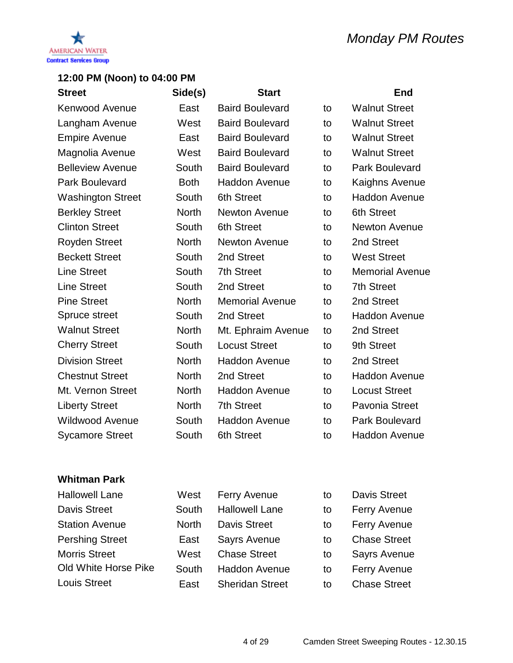

| <b>Street</b>            | Side(s)      | <b>Start</b>           |    | End                    |
|--------------------------|--------------|------------------------|----|------------------------|
| <b>Kenwood Avenue</b>    | East         | <b>Baird Boulevard</b> | to | <b>Walnut Street</b>   |
| Langham Avenue           | West         | <b>Baird Boulevard</b> | to | <b>Walnut Street</b>   |
| <b>Empire Avenue</b>     | East         | <b>Baird Boulevard</b> | to | <b>Walnut Street</b>   |
| Magnolia Avenue          | West         | <b>Baird Boulevard</b> | to | <b>Walnut Street</b>   |
| <b>Belleview Avenue</b>  | South        | <b>Baird Boulevard</b> | to | <b>Park Boulevard</b>  |
| <b>Park Boulevard</b>    | <b>Both</b>  | <b>Haddon Avenue</b>   | to | <b>Kaighns Avenue</b>  |
| <b>Washington Street</b> | South        | 6th Street             | to | <b>Haddon Avenue</b>   |
| <b>Berkley Street</b>    | <b>North</b> | <b>Newton Avenue</b>   | to | <b>6th Street</b>      |
| <b>Clinton Street</b>    | South        | 6th Street             | to | <b>Newton Avenue</b>   |
| Royden Street            | <b>North</b> | <b>Newton Avenue</b>   | to | 2nd Street             |
| <b>Beckett Street</b>    | South        | 2nd Street             | to | <b>West Street</b>     |
| <b>Line Street</b>       | South        | <b>7th Street</b>      | to | <b>Memorial Avenue</b> |
| <b>Line Street</b>       | South        | 2nd Street             | to | <b>7th Street</b>      |
| <b>Pine Street</b>       | <b>North</b> | <b>Memorial Avenue</b> | to | 2nd Street             |
| Spruce street            | South        | 2nd Street             | to | <b>Haddon Avenue</b>   |
| <b>Walnut Street</b>     | <b>North</b> | Mt. Ephraim Avenue     | to | 2nd Street             |
| <b>Cherry Street</b>     | South        | <b>Locust Street</b>   | to | 9th Street             |
| <b>Division Street</b>   | <b>North</b> | <b>Haddon Avenue</b>   | to | 2nd Street             |
| <b>Chestnut Street</b>   | <b>North</b> | 2nd Street             | to | <b>Haddon Avenue</b>   |
| Mt. Vernon Street        | <b>North</b> | <b>Haddon Avenue</b>   | to | <b>Locust Street</b>   |
| <b>Liberty Street</b>    | <b>North</b> | <b>7th Street</b>      | to | <b>Pavonia Street</b>  |
| <b>Wildwood Avenue</b>   | South        | <b>Haddon Avenue</b>   | to | <b>Park Boulevard</b>  |
| <b>Sycamore Street</b>   | South        | 6th Street             | to | <b>Haddon Avenue</b>   |

| <b>Hallowell Lane</b>  | West         | <b>Ferry Avenue</b>    | to | <b>Davis Street</b> |
|------------------------|--------------|------------------------|----|---------------------|
| <b>Davis Street</b>    | South        | <b>Hallowell Lane</b>  | to | <b>Ferry Avenue</b> |
| <b>Station Avenue</b>  | <b>North</b> | <b>Davis Street</b>    | to | <b>Ferry Avenue</b> |
| <b>Pershing Street</b> | East         | <b>Sayrs Avenue</b>    | to | <b>Chase Street</b> |
| <b>Morris Street</b>   | West         | <b>Chase Street</b>    | to | <b>Sayrs Avenue</b> |
| Old White Horse Pike   | South        | <b>Haddon Avenue</b>   | to | <b>Ferry Avenue</b> |
| <b>Louis Street</b>    | East         | <b>Sheridan Street</b> | to | <b>Chase Street</b> |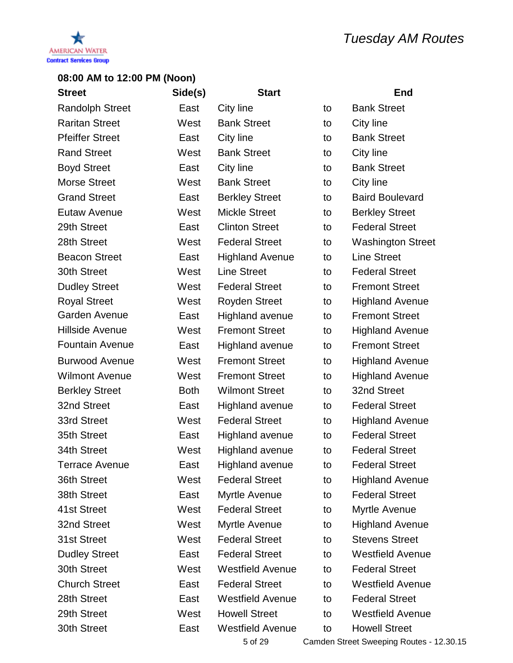



| <b>Street</b>          | Side(s)     | <b>Start</b>            |    | <b>End</b>               |
|------------------------|-------------|-------------------------|----|--------------------------|
| <b>Randolph Street</b> | East        | City line               | to | <b>Bank Street</b>       |
| <b>Raritan Street</b>  | West        | <b>Bank Street</b>      | to | City line                |
| <b>Pfeiffer Street</b> | East        | City line               | to | <b>Bank Street</b>       |
| <b>Rand Street</b>     | West        | <b>Bank Street</b>      | to | City line                |
| <b>Boyd Street</b>     | East        | City line               | to | <b>Bank Street</b>       |
| <b>Morse Street</b>    | West        | <b>Bank Street</b>      | to | City line                |
| <b>Grand Street</b>    | East        | <b>Berkley Street</b>   | to | <b>Baird Boulevard</b>   |
| Eutaw Avenue           | West        | <b>Mickle Street</b>    | to | <b>Berkley Street</b>    |
| 29th Street            | East        | <b>Clinton Street</b>   | to | <b>Federal Street</b>    |
| 28th Street            | West        | <b>Federal Street</b>   | to | <b>Washington Street</b> |
| <b>Beacon Street</b>   | East        | <b>Highland Avenue</b>  | to | <b>Line Street</b>       |
| 30th Street            | West        | <b>Line Street</b>      | to | <b>Federal Street</b>    |
| <b>Dudley Street</b>   | West        | <b>Federal Street</b>   | to | <b>Fremont Street</b>    |
| <b>Royal Street</b>    | West        | <b>Royden Street</b>    | to | <b>Highland Avenue</b>   |
| <b>Garden Avenue</b>   | East        | <b>Highland avenue</b>  | to | <b>Fremont Street</b>    |
| <b>Hillside Avenue</b> | West        | <b>Fremont Street</b>   | to | <b>Highland Avenue</b>   |
| <b>Fountain Avenue</b> | East        | <b>Highland avenue</b>  | to | <b>Fremont Street</b>    |
| <b>Burwood Avenue</b>  | West        | <b>Fremont Street</b>   | to | <b>Highland Avenue</b>   |
| <b>Wilmont Avenue</b>  | West        | <b>Fremont Street</b>   | to | <b>Highland Avenue</b>   |
| <b>Berkley Street</b>  | <b>Both</b> | <b>Wilmont Street</b>   | to | 32nd Street              |
| 32nd Street            | East        | <b>Highland avenue</b>  | to | <b>Federal Street</b>    |
| 33rd Street            | West        | <b>Federal Street</b>   | to | <b>Highland Avenue</b>   |
| 35th Street            | East        | <b>Highland avenue</b>  | to | <b>Federal Street</b>    |
| 34th Street            | West        | <b>Highland avenue</b>  | to | <b>Federal Street</b>    |
| Terrace Avenue         | East        | <b>Highland avenue</b>  | to | <b>Federal Street</b>    |
| 36th Street            | West        | <b>Federal Street</b>   | to | <b>Highland Avenue</b>   |
| 38th Street            | East        | <b>Myrtle Avenue</b>    | to | <b>Federal Street</b>    |
| 41st Street            | West        | <b>Federal Street</b>   | to | Myrtle Avenue            |
| 32nd Street            | West        | <b>Myrtle Avenue</b>    | to | <b>Highland Avenue</b>   |
| 31st Street            | West        | <b>Federal Street</b>   | to | <b>Stevens Street</b>    |
| <b>Dudley Street</b>   | East        | <b>Federal Street</b>   | to | <b>Westfield Avenue</b>  |
| 30th Street            | West        | <b>Westfield Avenue</b> | to | <b>Federal Street</b>    |
| <b>Church Street</b>   | East        | <b>Federal Street</b>   | to | <b>Westfield Avenue</b>  |
| 28th Street            | East        | <b>Westfield Avenue</b> | to | <b>Federal Street</b>    |
| 29th Street            | West        | <b>Howell Street</b>    | to | <b>Westfield Avenue</b>  |
| 30th Street            | East        | <b>Westfield Avenue</b> | to | <b>Howell Street</b>     |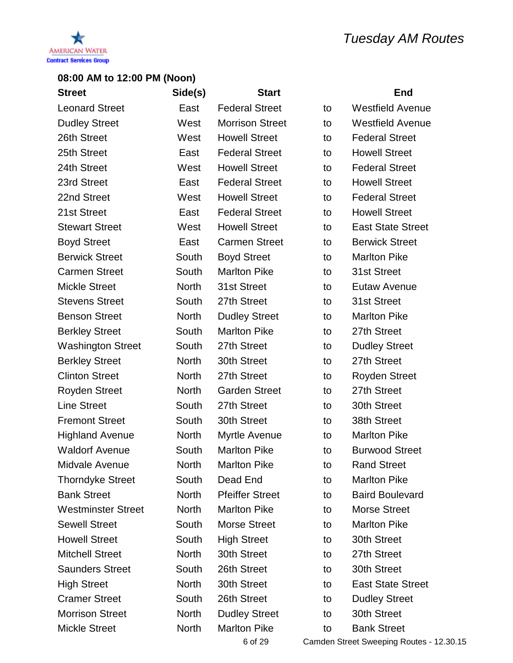

| <b>Street</b>             | Side(s)      | <b>Start</b>           |    | <b>End</b>               |
|---------------------------|--------------|------------------------|----|--------------------------|
| <b>Leonard Street</b>     | East         | <b>Federal Street</b>  | to | <b>Westfield Avenue</b>  |
| <b>Dudley Street</b>      | West         | <b>Morrison Street</b> | to | <b>Westfield Avenue</b>  |
| 26th Street               | West         | <b>Howell Street</b>   | to | <b>Federal Street</b>    |
| 25th Street               | East         | <b>Federal Street</b>  | to | <b>Howell Street</b>     |
| 24th Street               | West         | <b>Howell Street</b>   | to | <b>Federal Street</b>    |
| 23rd Street               | East         | <b>Federal Street</b>  | to | <b>Howell Street</b>     |
| 22nd Street               | West         | <b>Howell Street</b>   | to | <b>Federal Street</b>    |
| 21st Street               | East         | <b>Federal Street</b>  | to | <b>Howell Street</b>     |
| <b>Stewart Street</b>     | West         | <b>Howell Street</b>   | to | <b>East State Street</b> |
| <b>Boyd Street</b>        | East         | <b>Carmen Street</b>   | to | <b>Berwick Street</b>    |
| <b>Berwick Street</b>     | South        | <b>Boyd Street</b>     | to | <b>Marlton Pike</b>      |
| <b>Carmen Street</b>      | South        | <b>Marlton Pike</b>    | to | 31st Street              |
| <b>Mickle Street</b>      | <b>North</b> | 31st Street            | to | Eutaw Avenue             |
| <b>Stevens Street</b>     | South        | 27th Street            | to | 31st Street              |
| <b>Benson Street</b>      | <b>North</b> | <b>Dudley Street</b>   | to | <b>Marlton Pike</b>      |
| <b>Berkley Street</b>     | South        | <b>Marlton Pike</b>    | to | 27th Street              |
| <b>Washington Street</b>  | South        | 27th Street            | to | <b>Dudley Street</b>     |
| <b>Berkley Street</b>     | <b>North</b> | 30th Street            | to | 27th Street              |
| <b>Clinton Street</b>     | <b>North</b> | 27th Street            | to | <b>Royden Street</b>     |
| <b>Royden Street</b>      | <b>North</b> | <b>Garden Street</b>   | to | 27th Street              |
| <b>Line Street</b>        | South        | 27th Street            | to | 30th Street              |
| <b>Fremont Street</b>     | South        | 30th Street            | to | 38th Street              |
| <b>Highland Avenue</b>    | <b>North</b> | Myrtle Avenue          | to | <b>Marlton Pike</b>      |
| <b>Waldorf Avenue</b>     | South        | <b>Marlton Pike</b>    | to | <b>Burwood Street</b>    |
| Midvale Avenue            | <b>North</b> | <b>Marlton Pike</b>    | to | <b>Rand Street</b>       |
| <b>Thorndyke Street</b>   | South        | Dead End               | to | <b>Marlton Pike</b>      |
| <b>Bank Street</b>        | <b>North</b> | <b>Pfeiffer Street</b> | to | <b>Baird Boulevard</b>   |
| <b>Westminster Street</b> | <b>North</b> | <b>Marlton Pike</b>    | to | <b>Morse Street</b>      |
| <b>Sewell Street</b>      | South        | <b>Morse Street</b>    | to | <b>Marlton Pike</b>      |
| <b>Howell Street</b>      | South        | <b>High Street</b>     | to | 30th Street              |
| <b>Mitchell Street</b>    | <b>North</b> | 30th Street            | to | 27th Street              |
| <b>Saunders Street</b>    | South        | 26th Street            | to | 30th Street              |
| <b>High Street</b>        | <b>North</b> | 30th Street            | to | <b>East State Street</b> |
| <b>Cramer Street</b>      | South        | 26th Street            | to | <b>Dudley Street</b>     |
| <b>Morrison Street</b>    | <b>North</b> | <b>Dudley Street</b>   | to | 30th Street              |
| <b>Mickle Street</b>      | <b>North</b> | <b>Marlton Pike</b>    | to | <b>Bank Street</b>       |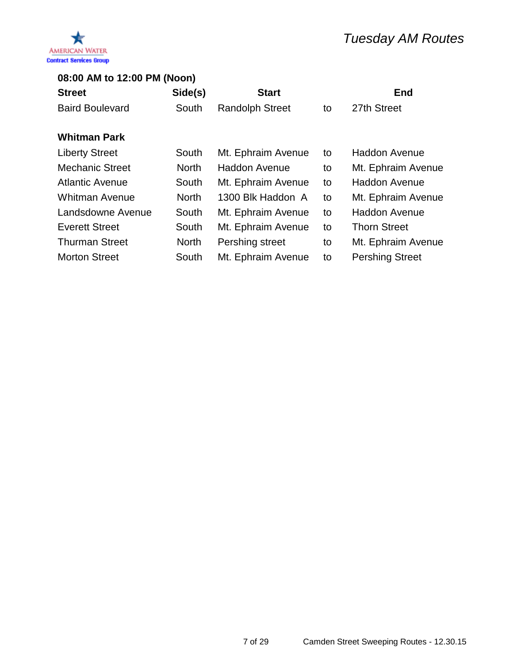

| Side(s)      | <b>Start</b>           |                    | <b>End</b>             |
|--------------|------------------------|--------------------|------------------------|
| South        | <b>Randolph Street</b> | to                 | 27th Street            |
|              |                        |                    |                        |
|              |                        |                    | <b>Haddon Avenue</b>   |
|              |                        |                    |                        |
| <b>North</b> | <b>Haddon Avenue</b>   | to                 | Mt. Ephraim Avenue     |
| South        | Mt. Ephraim Avenue     | to                 | <b>Haddon Avenue</b>   |
| <b>North</b> | 1300 Blk Haddon A      | to                 | Mt. Ephraim Avenue     |
| South        | Mt. Ephraim Avenue     | to                 | <b>Haddon Avenue</b>   |
| South        | Mt. Ephraim Avenue     | to                 | <b>Thorn Street</b>    |
| <b>North</b> | Pershing street        | to                 | Mt. Ephraim Avenue     |
| South        | Mt. Ephraim Avenue     | to                 | <b>Pershing Street</b> |
|              | South                  | Mt. Ephraim Avenue | to                     |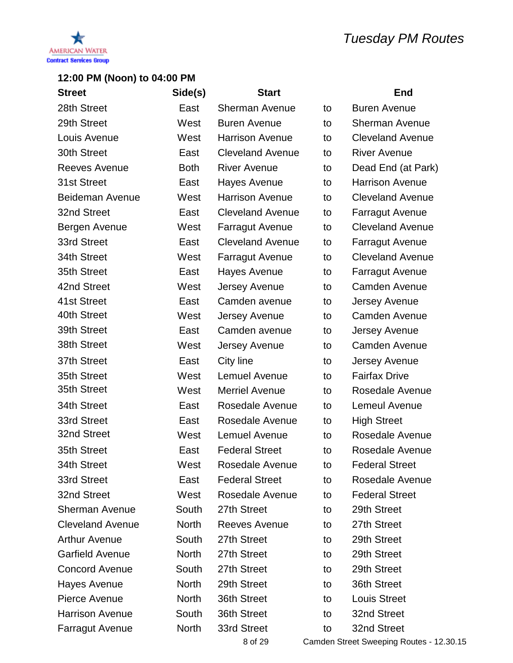

| <b>Street</b>           | Side(s)      | <b>Start</b>            |    | <b>End</b>              |
|-------------------------|--------------|-------------------------|----|-------------------------|
| 28th Street             | East         | Sherman Avenue          | to | <b>Buren Avenue</b>     |
| 29th Street             | West         | <b>Buren Avenue</b>     | to | <b>Sherman Avenue</b>   |
| Louis Avenue            | West         | <b>Harrison Avenue</b>  | to | <b>Cleveland Avenue</b> |
| 30th Street             | East         | <b>Cleveland Avenue</b> | to | <b>River Avenue</b>     |
| <b>Reeves Avenue</b>    | <b>Both</b>  | <b>River Avenue</b>     | to | Dead End (at Park)      |
| 31st Street             | East         | Hayes Avenue            | to | <b>Harrison Avenue</b>  |
| <b>Beideman Avenue</b>  | West         | <b>Harrison Avenue</b>  | to | <b>Cleveland Avenue</b> |
| 32nd Street             | East         | <b>Cleveland Avenue</b> | to | <b>Farragut Avenue</b>  |
| Bergen Avenue           | West         | <b>Farragut Avenue</b>  | to | <b>Cleveland Avenue</b> |
| 33rd Street             | East         | <b>Cleveland Avenue</b> | to | <b>Farragut Avenue</b>  |
| 34th Street             | West         | <b>Farragut Avenue</b>  | to | <b>Cleveland Avenue</b> |
| 35th Street             | East         | Hayes Avenue            | to | <b>Farragut Avenue</b>  |
| 42nd Street             | West         | Jersey Avenue           | to | <b>Camden Avenue</b>    |
| 41st Street             | East         | Camden avenue           | to | Jersey Avenue           |
| 40th Street             | West         | Jersey Avenue           | to | <b>Camden Avenue</b>    |
| 39th Street             | East         | Camden avenue           | to | Jersey Avenue           |
| 38th Street             | West         | Jersey Avenue           | to | <b>Camden Avenue</b>    |
| 37th Street             | East         | City line               | to | Jersey Avenue           |
| 35th Street             | West         | <b>Lemuel Avenue</b>    | to | <b>Fairfax Drive</b>    |
| 35th Street             | West         | <b>Merriel Avenue</b>   | to | Rosedale Avenue         |
| 34th Street             | East         | Rosedale Avenue         | to | <b>Lemeul Avenue</b>    |
| 33rd Street             | East         | Rosedale Avenue         | to | <b>High Street</b>      |
| 32nd Street             | West         | <b>Lemuel Avenue</b>    | to | Rosedale Avenue         |
| 35th Street             | East         | <b>Federal Street</b>   | to | Rosedale Avenue         |
| 34th Street             | West         | Rosedale Avenue         | to | <b>Federal Street</b>   |
| 33rd Street             | East         | <b>Federal Street</b>   | to | Rosedale Avenue         |
| 32nd Street             | West         | Rosedale Avenue         | to | <b>Federal Street</b>   |
| <b>Sherman Avenue</b>   | South        | 27th Street             | to | 29th Street             |
| <b>Cleveland Avenue</b> | <b>North</b> | Reeves Avenue           | to | 27th Street             |
| <b>Arthur Avenue</b>    | South        | 27th Street             | to | 29th Street             |
| <b>Garfield Avenue</b>  | <b>North</b> | 27th Street             | to | 29th Street             |
| <b>Concord Avenue</b>   | South        | 27th Street             | to | 29th Street             |
| Hayes Avenue            | <b>North</b> | 29th Street             | to | 36th Street             |
| Pierce Avenue           | <b>North</b> | 36th Street             | to | <b>Louis Street</b>     |
| <b>Harrison Avenue</b>  | South        | 36th Street             | to | 32nd Street             |
| <b>Farragut Avenue</b>  | <b>North</b> | 33rd Street             | to | 32nd Street             |
|                         |              |                         |    |                         |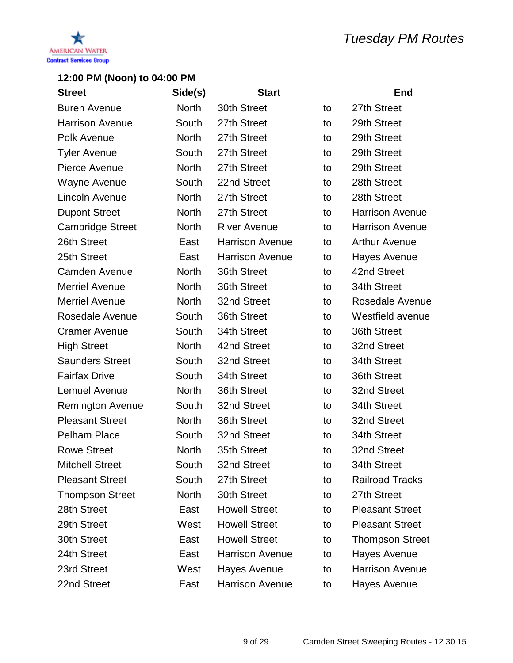

| <b>Street</b>           | Side(s)      | <b>Start</b>           |    | <b>End</b>             |
|-------------------------|--------------|------------------------|----|------------------------|
| <b>Buren Avenue</b>     | <b>North</b> | 30th Street            | to | 27th Street            |
| <b>Harrison Avenue</b>  | South        | 27th Street            | to | 29th Street            |
| Polk Avenue             | <b>North</b> | 27th Street            | to | 29th Street            |
| <b>Tyler Avenue</b>     | South        | 27th Street            | to | 29th Street            |
| Pierce Avenue           | <b>North</b> | 27th Street            | to | 29th Street            |
| Wayne Avenue            | South        | 22nd Street            | to | 28th Street            |
| Lincoln Avenue          | <b>North</b> | 27th Street            | to | 28th Street            |
| <b>Dupont Street</b>    | <b>North</b> | 27th Street            | to | <b>Harrison Avenue</b> |
| <b>Cambridge Street</b> | <b>North</b> | <b>River Avenue</b>    | to | <b>Harrison Avenue</b> |
| 26th Street             | East         | <b>Harrison Avenue</b> | to | <b>Arthur Avenue</b>   |
| 25th Street             | East         | <b>Harrison Avenue</b> | to | <b>Hayes Avenue</b>    |
| <b>Camden Avenue</b>    | <b>North</b> | 36th Street            | to | 42nd Street            |
| <b>Merriel Avenue</b>   | <b>North</b> | 36th Street            | to | 34th Street            |
| <b>Merriel Avenue</b>   | <b>North</b> | 32nd Street            | to | Rosedale Avenue        |
| Rosedale Avenue         | South        | 36th Street            | to | Westfield avenue       |
| <b>Cramer Avenue</b>    | South        | 34th Street            | to | 36th Street            |
| <b>High Street</b>      | <b>North</b> | 42nd Street            | to | 32nd Street            |
| <b>Saunders Street</b>  | South        | 32nd Street            | to | 34th Street            |
| <b>Fairfax Drive</b>    | South        | 34th Street            | to | 36th Street            |
| Lemuel Avenue           | <b>North</b> | 36th Street            | to | 32nd Street            |
| <b>Remington Avenue</b> | South        | 32nd Street            | to | 34th Street            |
| <b>Pleasant Street</b>  | <b>North</b> | 36th Street            | to | 32nd Street            |
| <b>Pelham Place</b>     | South        | 32nd Street            | to | 34th Street            |
| <b>Rowe Street</b>      | <b>North</b> | 35th Street            | to | 32nd Street            |
| <b>Mitchell Street</b>  | South        | 32nd Street            | to | 34th Street            |
| <b>Pleasant Street</b>  | South        | 27th Street            | to | <b>Railroad Tracks</b> |
| <b>Thompson Street</b>  | <b>North</b> | 30th Street            | to | 27th Street            |
| 28th Street             | East         | <b>Howell Street</b>   | to | <b>Pleasant Street</b> |
| 29th Street             | West         | <b>Howell Street</b>   | to | <b>Pleasant Street</b> |
| 30th Street             | East         | <b>Howell Street</b>   | to | <b>Thompson Street</b> |
| 24th Street             | East         | <b>Harrison Avenue</b> | to | <b>Hayes Avenue</b>    |
| 23rd Street             | West         | Hayes Avenue           | to | <b>Harrison Avenue</b> |
| 22nd Street             | East         | <b>Harrison Avenue</b> | to | Hayes Avenue           |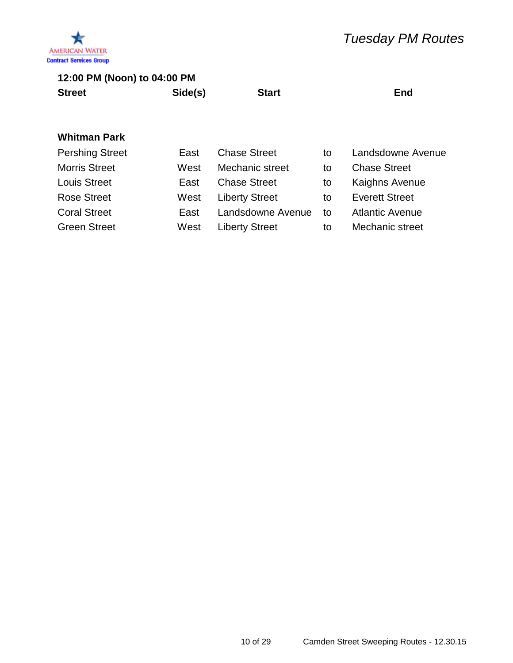

| <b>Street</b> | Side(s) | <b>Start</b> | End |
|---------------|---------|--------------|-----|
|               |         |              |     |

| <b>Pershing Street</b> | East | <b>Chase Street</b>   | to | Landsdowne Avenue      |
|------------------------|------|-----------------------|----|------------------------|
| <b>Morris Street</b>   | West | Mechanic street       | to | <b>Chase Street</b>    |
| <b>Louis Street</b>    | East | <b>Chase Street</b>   | to | <b>Kaighns Avenue</b>  |
| <b>Rose Street</b>     | West | <b>Liberty Street</b> | to | <b>Everett Street</b>  |
| <b>Coral Street</b>    | East | Landsdowne Avenue     | to | <b>Atlantic Avenue</b> |
| <b>Green Street</b>    | West | <b>Liberty Street</b> | to | Mechanic street        |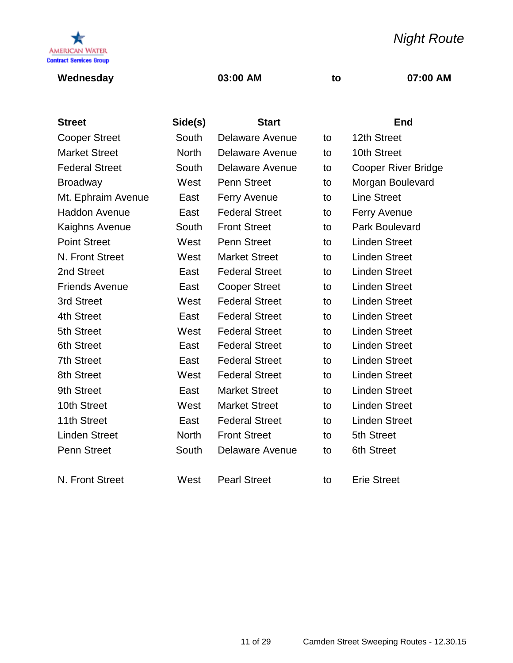

### **Wednesday 03:00 AM to 07:00 AM**

*Night Route*

| <b>Street</b>         | Side(s)      | <b>Start</b>           |    | <b>End</b>                 |
|-----------------------|--------------|------------------------|----|----------------------------|
| <b>Cooper Street</b>  | South        | <b>Delaware Avenue</b> | to | 12th Street                |
| <b>Market Street</b>  | <b>North</b> | <b>Delaware Avenue</b> | to | 10th Street                |
| <b>Federal Street</b> | South        | <b>Delaware Avenue</b> | to | <b>Cooper River Bridge</b> |
| <b>Broadway</b>       | West         | <b>Penn Street</b>     | to | Morgan Boulevard           |
| Mt. Ephraim Avenue    | East         | <b>Ferry Avenue</b>    | to | <b>Line Street</b>         |
| <b>Haddon Avenue</b>  | East         | <b>Federal Street</b>  | to | Ferry Avenue               |
| Kaighns Avenue        | South        | <b>Front Street</b>    | to | <b>Park Boulevard</b>      |
| <b>Point Street</b>   | West         | <b>Penn Street</b>     | to | <b>Linden Street</b>       |
| N. Front Street       | West         | <b>Market Street</b>   | to | <b>Linden Street</b>       |
| 2nd Street            | East         | <b>Federal Street</b>  | to | <b>Linden Street</b>       |
| <b>Friends Avenue</b> | East         | <b>Cooper Street</b>   | to | <b>Linden Street</b>       |
| 3rd Street            | West         | <b>Federal Street</b>  | to | <b>Linden Street</b>       |
| 4th Street            | East         | <b>Federal Street</b>  | to | <b>Linden Street</b>       |
| 5th Street            | West         | <b>Federal Street</b>  | to | <b>Linden Street</b>       |
| <b>6th Street</b>     | East         | <b>Federal Street</b>  | to | <b>Linden Street</b>       |
| <b>7th Street</b>     | East         | <b>Federal Street</b>  | to | <b>Linden Street</b>       |
| 8th Street            | West         | <b>Federal Street</b>  | to | <b>Linden Street</b>       |
| 9th Street            | East         | <b>Market Street</b>   | to | <b>Linden Street</b>       |
| 10th Street           | West         | <b>Market Street</b>   | to | <b>Linden Street</b>       |
| 11th Street           | East         | <b>Federal Street</b>  | to | <b>Linden Street</b>       |
| <b>Linden Street</b>  | <b>North</b> | <b>Front Street</b>    | to | 5th Street                 |
| <b>Penn Street</b>    | South        | <b>Delaware Avenue</b> | to | 6th Street                 |
| N. Front Street       | West         | <b>Pearl Street</b>    | to | <b>Erie Street</b>         |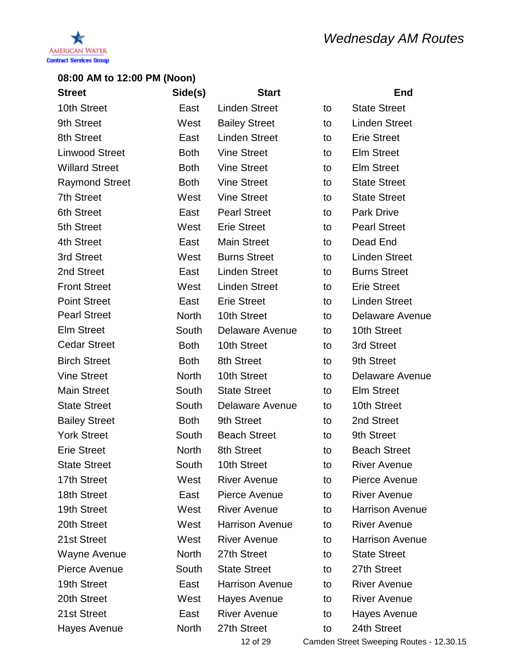

| <b>Street</b>         | Side(s)      | <b>Start</b>           |    | <b>End</b>                               |
|-----------------------|--------------|------------------------|----|------------------------------------------|
| 10th Street           | East         | <b>Linden Street</b>   | to | <b>State Street</b>                      |
| 9th Street            | West         | <b>Bailey Street</b>   | to | <b>Linden Street</b>                     |
| 8th Street            | East         | <b>Linden Street</b>   | to | <b>Erie Street</b>                       |
| <b>Linwood Street</b> | <b>Both</b>  | <b>Vine Street</b>     | to | <b>Elm Street</b>                        |
| <b>Willard Street</b> | <b>Both</b>  | <b>Vine Street</b>     | to | <b>Elm Street</b>                        |
| <b>Raymond Street</b> | <b>Both</b>  | <b>Vine Street</b>     | to | <b>State Street</b>                      |
| <b>7th Street</b>     | West         | <b>Vine Street</b>     | to | <b>State Street</b>                      |
| <b>6th Street</b>     | East         | <b>Pearl Street</b>    | to | <b>Park Drive</b>                        |
| 5th Street            | West         | <b>Erie Street</b>     | to | <b>Pearl Street</b>                      |
| 4th Street            | East         | <b>Main Street</b>     | to | Dead End                                 |
| 3rd Street            | West         | <b>Burns Street</b>    | to | <b>Linden Street</b>                     |
| 2nd Street            | East         | <b>Linden Street</b>   | to | <b>Burns Street</b>                      |
| <b>Front Street</b>   | West         | <b>Linden Street</b>   | to | <b>Erie Street</b>                       |
| <b>Point Street</b>   | East         | <b>Erie Street</b>     | to | <b>Linden Street</b>                     |
| <b>Pearl Street</b>   | <b>North</b> | 10th Street            | to | Delaware Avenue                          |
| <b>Elm Street</b>     | South        | <b>Delaware Avenue</b> | to | 10th Street                              |
| <b>Cedar Street</b>   | <b>Both</b>  | 10th Street            | to | 3rd Street                               |
| <b>Birch Street</b>   | <b>Both</b>  | 8th Street             | to | 9th Street                               |
| <b>Vine Street</b>    | <b>North</b> | 10th Street            | to | Delaware Avenue                          |
| <b>Main Street</b>    | South        | <b>State Street</b>    | to | <b>Elm Street</b>                        |
| <b>State Street</b>   | South        | Delaware Avenue        | to | 10th Street                              |
| <b>Bailey Street</b>  | <b>Both</b>  | 9th Street             | to | 2nd Street                               |
| <b>York Street</b>    | South        | <b>Beach Street</b>    | to | 9th Street                               |
| <b>Erie Street</b>    | <b>North</b> | 8th Street             | to | <b>Beach Street</b>                      |
| <b>State Street</b>   | South        | 10th Street            | to | <b>River Avenue</b>                      |
| 17th Street           | West         | <b>River Avenue</b>    | to | Pierce Avenue                            |
| 18th Street           | East         | Pierce Avenue          | to | <b>River Avenue</b>                      |
| 19th Street           | West         | <b>River Avenue</b>    | to | <b>Harrison Avenue</b>                   |
| 20th Street           | West         | <b>Harrison Avenue</b> | to | <b>River Avenue</b>                      |
| 21st Street           | West         | <b>River Avenue</b>    | to | <b>Harrison Avenue</b>                   |
| Wayne Avenue          | <b>North</b> | 27th Street            | to | <b>State Street</b>                      |
| Pierce Avenue         | South        | <b>State Street</b>    | to | 27th Street                              |
| 19th Street           | East         | <b>Harrison Avenue</b> | to | <b>River Avenue</b>                      |
| 20th Street           | West         | Hayes Avenue           | to | <b>River Avenue</b>                      |
| 21st Street           | East         | <b>River Avenue</b>    | to | Hayes Avenue                             |
| Hayes Avenue          | <b>North</b> | 27th Street            | to | 24th Street                              |
|                       |              | 12 of 29               |    | Camden Street Sweeping Routes - 12.30.15 |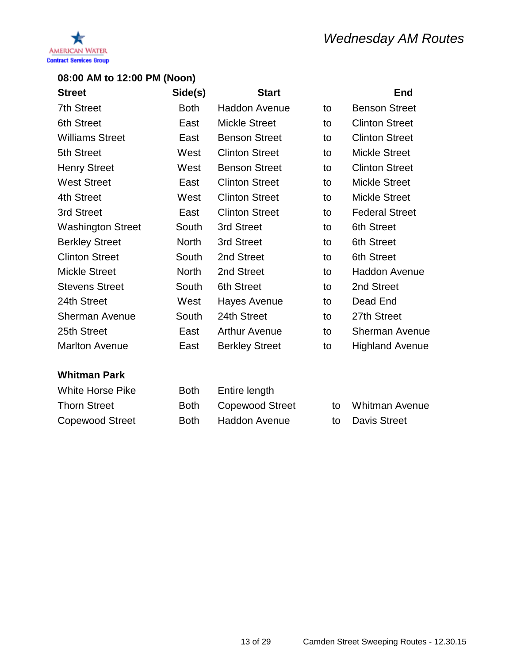

| <b>Street</b>            | Side(s)      | <b>Start</b>          |    | <b>End</b>             |
|--------------------------|--------------|-----------------------|----|------------------------|
| <b>7th Street</b>        | <b>Both</b>  | <b>Haddon Avenue</b>  | to | <b>Benson Street</b>   |
| <b>6th Street</b>        | East         | <b>Mickle Street</b>  | to | <b>Clinton Street</b>  |
| <b>Williams Street</b>   | East         | <b>Benson Street</b>  | to | <b>Clinton Street</b>  |
| 5th Street               | West         | <b>Clinton Street</b> | to | <b>Mickle Street</b>   |
| <b>Henry Street</b>      | West         | <b>Benson Street</b>  | to | <b>Clinton Street</b>  |
| <b>West Street</b>       | East         | <b>Clinton Street</b> | to | <b>Mickle Street</b>   |
| 4th Street               | West         | <b>Clinton Street</b> | to | <b>Mickle Street</b>   |
| 3rd Street               | East         | <b>Clinton Street</b> | to | <b>Federal Street</b>  |
| <b>Washington Street</b> | South        | 3rd Street            | to | 6th Street             |
| <b>Berkley Street</b>    | <b>North</b> | 3rd Street            | to | 6th Street             |
| <b>Clinton Street</b>    | South        | 2nd Street            | to | 6th Street             |
| <b>Mickle Street</b>     | <b>North</b> | 2nd Street            | to | <b>Haddon Avenue</b>   |
| <b>Stevens Street</b>    | South        | <b>6th Street</b>     | to | 2nd Street             |
| 24th Street              | West         | Hayes Avenue          | to | Dead End               |
| <b>Sherman Avenue</b>    | South        | 24th Street           | to | 27th Street            |
| 25th Street              | East         | <b>Arthur Avenue</b>  | to | <b>Sherman Avenue</b>  |
| <b>Marlton Avenue</b>    | East         | <b>Berkley Street</b> | to | <b>Highland Avenue</b> |

| White Horse Pike       | <b>Both</b> | Entire length        |                   |
|------------------------|-------------|----------------------|-------------------|
| <b>Thorn Street</b>    |             | Both Copewood Street | to Whitman Avenue |
| <b>Copewood Street</b> | <b>Both</b> | Haddon Avenue        | to Davis Street   |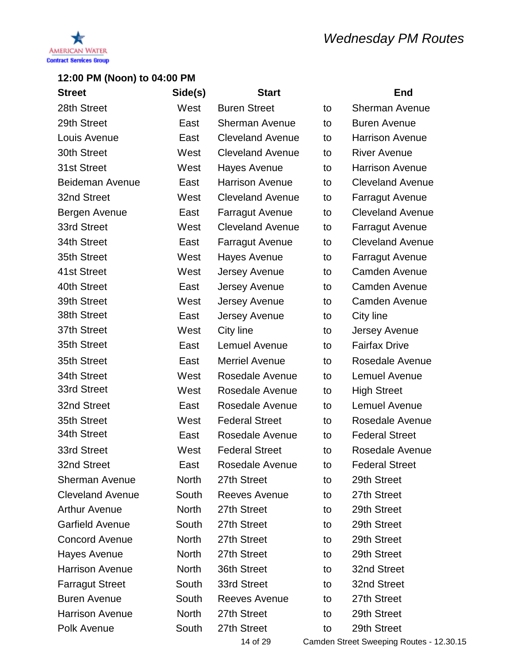

| <b>Street</b>           | Side(s)      | <b>Start</b>            |    | End                     |
|-------------------------|--------------|-------------------------|----|-------------------------|
| 28th Street             | West         | <b>Buren Street</b>     | to | <b>Sherman Avenue</b>   |
| 29th Street             | East         | <b>Sherman Avenue</b>   | to | <b>Buren Avenue</b>     |
| Louis Avenue            | East         | <b>Cleveland Avenue</b> | to | <b>Harrison Avenue</b>  |
| 30th Street             | West         | <b>Cleveland Avenue</b> | to | <b>River Avenue</b>     |
| 31st Street             | West         | <b>Hayes Avenue</b>     | to | <b>Harrison Avenue</b>  |
| Beideman Avenue         | East         | <b>Harrison Avenue</b>  | to | <b>Cleveland Avenue</b> |
| 32nd Street             | West         | <b>Cleveland Avenue</b> | to | <b>Farragut Avenue</b>  |
| Bergen Avenue           | East         | <b>Farragut Avenue</b>  | to | <b>Cleveland Avenue</b> |
| 33rd Street             | West         | <b>Cleveland Avenue</b> | to | <b>Farragut Avenue</b>  |
| 34th Street             | East         | <b>Farragut Avenue</b>  | to | <b>Cleveland Avenue</b> |
| 35th Street             | West         | Hayes Avenue            | to | <b>Farragut Avenue</b>  |
| 41st Street             | West         | Jersey Avenue           | to | <b>Camden Avenue</b>    |
| 40th Street             | East         | Jersey Avenue           | to | <b>Camden Avenue</b>    |
| 39th Street             | West         | Jersey Avenue           | to | <b>Camden Avenue</b>    |
| 38th Street             | East         | Jersey Avenue           | to | City line               |
| 37th Street             | West         | City line               | to | Jersey Avenue           |
| 35th Street             | East         | <b>Lemuel Avenue</b>    | to | <b>Fairfax Drive</b>    |
| 35th Street             | East         | <b>Merriel Avenue</b>   | to | Rosedale Avenue         |
| 34th Street             | West         | Rosedale Avenue         | to | <b>Lemuel Avenue</b>    |
| 33rd Street             | West         | Rosedale Avenue         | to | <b>High Street</b>      |
| 32nd Street             | East         | Rosedale Avenue         | to | Lemuel Avenue           |
| 35th Street             | West         | <b>Federal Street</b>   | to | Rosedale Avenue         |
| 34th Street             | East         | Rosedale Avenue         | to | <b>Federal Street</b>   |
| 33rd Street             | West         | <b>Federal Street</b>   | to | Rosedale Avenue         |
| 32nd Street             | East         | Rosedale Avenue         | to | <b>Federal Street</b>   |
| <b>Sherman Avenue</b>   | <b>North</b> | 27th Street             | to | 29th Street             |
| <b>Cleveland Avenue</b> | South        | <b>Reeves Avenue</b>    | to | 27th Street             |
| <b>Arthur Avenue</b>    | <b>North</b> | 27th Street             | to | 29th Street             |
| <b>Garfield Avenue</b>  | South        | 27th Street             | to | 29th Street             |
| <b>Concord Avenue</b>   | <b>North</b> | 27th Street             | to | 29th Street             |
| <b>Hayes Avenue</b>     | <b>North</b> | 27th Street             | to | 29th Street             |
| <b>Harrison Avenue</b>  | <b>North</b> | 36th Street             | to | 32nd Street             |
| <b>Farragut Street</b>  | South        | 33rd Street             | to | 32nd Street             |
| <b>Buren Avenue</b>     | South        | <b>Reeves Avenue</b>    | to | 27th Street             |
| <b>Harrison Avenue</b>  | <b>North</b> | 27th Street             | to | 29th Street             |
| Polk Avenue             | South        | 27th Street             | to | 29th Street             |
|                         |              |                         |    |                         |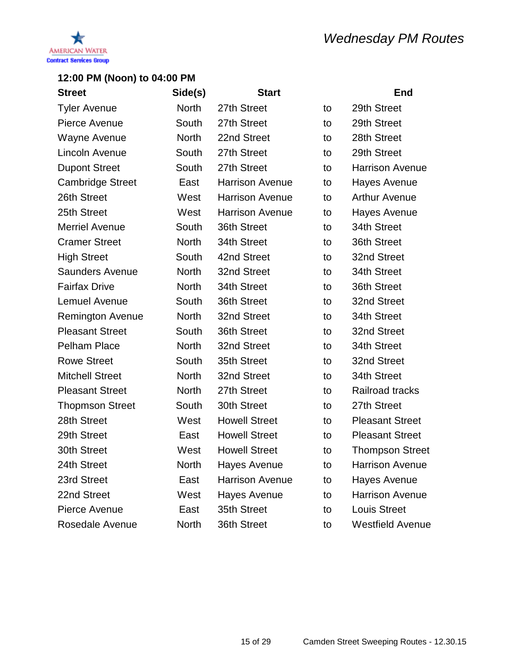

| <b>Street</b>           | Side(s)      | <b>Start</b>           |    | <b>End</b>              |
|-------------------------|--------------|------------------------|----|-------------------------|
| <b>Tyler Avenue</b>     | <b>North</b> | 27th Street            | to | 29th Street             |
| Pierce Avenue           | South        | 27th Street            | to | 29th Street             |
| Wayne Avenue            | <b>North</b> | 22nd Street            | to | 28th Street             |
| Lincoln Avenue          | South        | 27th Street            | to | 29th Street             |
| <b>Dupont Street</b>    | South        | 27th Street            | to | <b>Harrison Avenue</b>  |
| <b>Cambridge Street</b> | East         | <b>Harrison Avenue</b> | to | <b>Hayes Avenue</b>     |
| 26th Street             | West         | <b>Harrison Avenue</b> | to | <b>Arthur Avenue</b>    |
| 25th Street             | West         | <b>Harrison Avenue</b> | to | Hayes Avenue            |
| <b>Merriel Avenue</b>   | South        | 36th Street            | to | 34th Street             |
| <b>Cramer Street</b>    | <b>North</b> | 34th Street            | to | 36th Street             |
| <b>High Street</b>      | South        | 42nd Street            | to | 32nd Street             |
| <b>Saunders Avenue</b>  | <b>North</b> | 32nd Street            | to | 34th Street             |
| <b>Fairfax Drive</b>    | <b>North</b> | 34th Street            | to | 36th Street             |
| <b>Lemuel Avenue</b>    | South        | 36th Street            | to | 32nd Street             |
| <b>Remington Avenue</b> | <b>North</b> | 32nd Street            | to | 34th Street             |
| <b>Pleasant Street</b>  | South        | 36th Street            | to | 32nd Street             |
| <b>Pelham Place</b>     | <b>North</b> | 32nd Street            | to | 34th Street             |
| <b>Rowe Street</b>      | South        | 35th Street            | to | 32nd Street             |
| <b>Mitchell Street</b>  | <b>North</b> | 32nd Street            | to | 34th Street             |
| <b>Pleasant Street</b>  | <b>North</b> | 27th Street            | to | Railroad tracks         |
| <b>Thopmson Street</b>  | South        | 30th Street            | to | 27th Street             |
| 28th Street             | West         | <b>Howell Street</b>   | to | <b>Pleasant Street</b>  |
| 29th Street             | East         | <b>Howell Street</b>   | to | <b>Pleasant Street</b>  |
| 30th Street             | West         | <b>Howell Street</b>   | to | <b>Thompson Street</b>  |
| 24th Street             | <b>North</b> | <b>Hayes Avenue</b>    | to | <b>Harrison Avenue</b>  |
| 23rd Street             | East         | <b>Harrison Avenue</b> | to | Hayes Avenue            |
| 22nd Street             | West         | Hayes Avenue           | to | <b>Harrison Avenue</b>  |
| Pierce Avenue           | East         | 35th Street            | to | <b>Louis Street</b>     |
| Rosedale Avenue         | North        | 36th Street            | to | <b>Westfield Avenue</b> |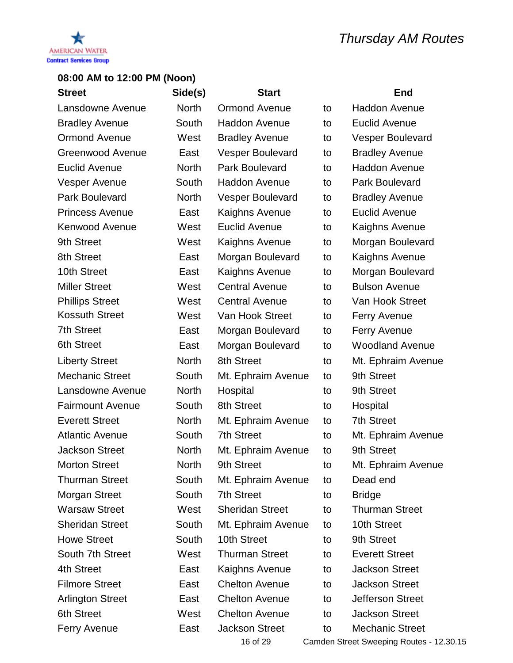

| <b>Street</b>           | Side(s)      | <b>Start</b>            |    | <b>End</b>              |
|-------------------------|--------------|-------------------------|----|-------------------------|
| Lansdowne Avenue        | <b>North</b> | <b>Ormond Avenue</b>    | to | <b>Haddon Avenue</b>    |
| <b>Bradley Avenue</b>   | South        | <b>Haddon Avenue</b>    | to | Euclid Avenue           |
| <b>Ormond Avenue</b>    | West         | <b>Bradley Avenue</b>   | to | <b>Vesper Boulevard</b> |
| <b>Greenwood Avenue</b> | East         | <b>Vesper Boulevard</b> | to | <b>Bradley Avenue</b>   |
| <b>Euclid Avenue</b>    | <b>North</b> | <b>Park Boulevard</b>   | to | <b>Haddon Avenue</b>    |
| Vesper Avenue           | South        | <b>Haddon Avenue</b>    | to | Park Boulevard          |
| Park Boulevard          | <b>North</b> | <b>Vesper Boulevard</b> | to | <b>Bradley Avenue</b>   |
| <b>Princess Avenue</b>  | East         | Kaighns Avenue          | to | Euclid Avenue           |
| <b>Kenwood Avenue</b>   | West         | Euclid Avenue           | to | Kaighns Avenue          |
| 9th Street              | West         | Kaighns Avenue          | to | Morgan Boulevard        |
| 8th Street              | East         | Morgan Boulevard        | to | Kaighns Avenue          |
| 10th Street             | East         | Kaighns Avenue          | to | Morgan Boulevard        |
| <b>Miller Street</b>    | West         | <b>Central Avenue</b>   | to | <b>Bulson Avenue</b>    |
| <b>Phillips Street</b>  | West         | <b>Central Avenue</b>   | to | Van Hook Street         |
| <b>Kossuth Street</b>   | West         | Van Hook Street         | to | <b>Ferry Avenue</b>     |
| <b>7th Street</b>       | East         | Morgan Boulevard        | to | <b>Ferry Avenue</b>     |
| <b>6th Street</b>       | East         | Morgan Boulevard        | to | <b>Woodland Avenue</b>  |
| <b>Liberty Street</b>   | <b>North</b> | 8th Street              | to | Mt. Ephraim Avenue      |
| <b>Mechanic Street</b>  | South        | Mt. Ephraim Avenue      | to | 9th Street              |
| Lansdowne Avenue        | <b>North</b> | Hospital                | to | 9th Street              |
| <b>Fairmount Avenue</b> | South        | 8th Street              | to | Hospital                |
| <b>Everett Street</b>   | <b>North</b> | Mt. Ephraim Avenue      | to | <b>7th Street</b>       |
| <b>Atlantic Avenue</b>  | South        | <b>7th Street</b>       | to | Mt. Ephraim Avenue      |
| <b>Jackson Street</b>   | <b>North</b> | Mt. Ephraim Avenue      | to | 9th Street              |
| <b>Morton Street</b>    | <b>North</b> | 9th Street              | to | Mt. Ephraim Avenue      |
| <b>Thurman Street</b>   | South        | Mt. Ephraim Avenue      | to | Dead end                |
| <b>Morgan Street</b>    | South        | <b>7th Street</b>       | to | <b>Bridge</b>           |
| <b>Warsaw Street</b>    | West         | <b>Sheridan Street</b>  | to | <b>Thurman Street</b>   |
| <b>Sheridan Street</b>  | South        | Mt. Ephraim Avenue      | to | 10th Street             |
| <b>Howe Street</b>      | South        | 10th Street             | to | 9th Street              |
| South 7th Street        | West         | <b>Thurman Street</b>   | to | <b>Everett Street</b>   |
| 4th Street              | East         | Kaighns Avenue          | to | <b>Jackson Street</b>   |
| <b>Filmore Street</b>   | East         | <b>Chelton Avenue</b>   | to | <b>Jackson Street</b>   |
| <b>Arlington Street</b> | East         | <b>Chelton Avenue</b>   | to | <b>Jefferson Street</b> |
| <b>6th Street</b>       | West         | <b>Chelton Avenue</b>   | to | <b>Jackson Street</b>   |
| <b>Ferry Avenue</b>     | East         | <b>Jackson Street</b>   | to | <b>Mechanic Street</b>  |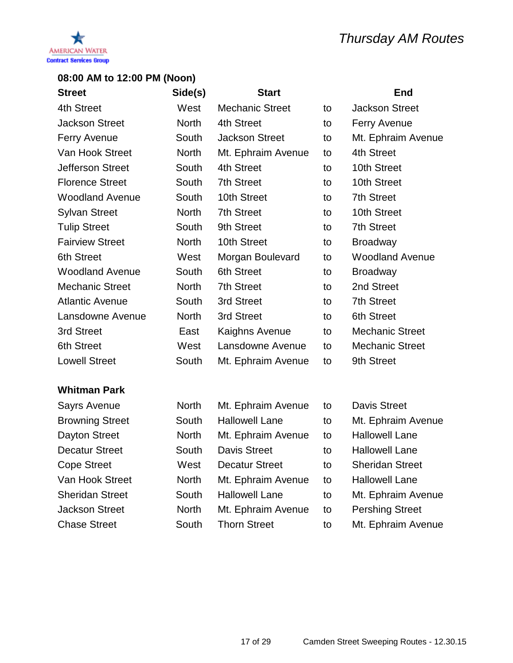

| <b>Street</b>           | Side(s)      | <b>Start</b>           |    | <b>End</b>             |
|-------------------------|--------------|------------------------|----|------------------------|
| 4th Street              | West         | <b>Mechanic Street</b> | to | <b>Jackson Street</b>  |
| <b>Jackson Street</b>   | <b>North</b> | 4th Street             | to | <b>Ferry Avenue</b>    |
| <b>Ferry Avenue</b>     | South        | <b>Jackson Street</b>  | to | Mt. Ephraim Avenue     |
| Van Hook Street         | North        | Mt. Ephraim Avenue     | to | 4th Street             |
| <b>Jefferson Street</b> | South        | 4th Street             | to | 10th Street            |
| <b>Florence Street</b>  | South        | <b>7th Street</b>      | to | 10th Street            |
| <b>Woodland Avenue</b>  | South        | 10th Street            | to | <b>7th Street</b>      |
| <b>Sylvan Street</b>    | <b>North</b> | <b>7th Street</b>      | to | 10th Street            |
| <b>Tulip Street</b>     | South        | 9th Street             | to | <b>7th Street</b>      |
| <b>Fairview Street</b>  | North        | 10th Street            | to | <b>Broadway</b>        |
| <b>6th Street</b>       | West         | Morgan Boulevard       | to | <b>Woodland Avenue</b> |
| <b>Woodland Avenue</b>  | South        | 6th Street             | to | <b>Broadway</b>        |
| <b>Mechanic Street</b>  | <b>North</b> | 7th Street             | to | 2nd Street             |
| <b>Atlantic Avenue</b>  | South        | 3rd Street             | to | <b>7th Street</b>      |
| Lansdowne Avenue        | <b>North</b> | 3rd Street             | to | <b>6th Street</b>      |
| 3rd Street              | East         | Kaighns Avenue         | to | <b>Mechanic Street</b> |
| <b>6th Street</b>       | West         | Lansdowne Avenue       | to | <b>Mechanic Street</b> |
| <b>Lowell Street</b>    | South        | Mt. Ephraim Avenue     | to | 9th Street             |

| <b>Sayrs Avenue</b>    | <b>North</b> | Mt. Ephraim Avenue    | to | <b>Davis Street</b>    |
|------------------------|--------------|-----------------------|----|------------------------|
| <b>Browning Street</b> | South        | <b>Hallowell Lane</b> | to | Mt. Ephraim Avenue     |
| <b>Dayton Street</b>   | <b>North</b> | Mt. Ephraim Avenue    | to | <b>Hallowell Lane</b>  |
| <b>Decatur Street</b>  | South        | <b>Davis Street</b>   | to | <b>Hallowell Lane</b>  |
| <b>Cope Street</b>     | West         | <b>Decatur Street</b> | to | <b>Sheridan Street</b> |
| Van Hook Street        | <b>North</b> | Mt. Ephraim Avenue    | to | <b>Hallowell Lane</b>  |
| <b>Sheridan Street</b> | South        | <b>Hallowell Lane</b> | to | Mt. Ephraim Avenue     |
| <b>Jackson Street</b>  | <b>North</b> | Mt. Ephraim Avenue    | to | <b>Pershing Street</b> |
| <b>Chase Street</b>    | South        | <b>Thorn Street</b>   | to | Mt. Ephraim Avenue     |
|                        |              |                       |    |                        |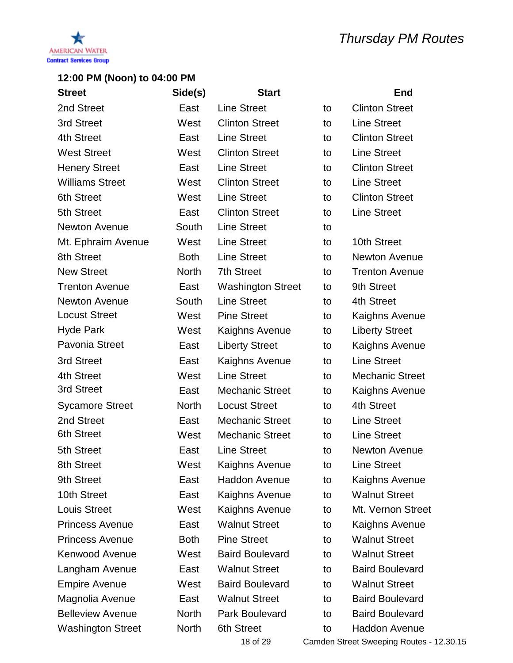

| <b>Street</b>            | Side(s)      | <b>Start</b>             |    | <b>End</b>             |
|--------------------------|--------------|--------------------------|----|------------------------|
| 2nd Street               | East         | <b>Line Street</b>       | to | <b>Clinton Street</b>  |
| 3rd Street               | West         | <b>Clinton Street</b>    | to | <b>Line Street</b>     |
| 4th Street               | East         | <b>Line Street</b>       | to | <b>Clinton Street</b>  |
| <b>West Street</b>       | West         | <b>Clinton Street</b>    | to | <b>Line Street</b>     |
| <b>Henery Street</b>     | East         | <b>Line Street</b>       | to | <b>Clinton Street</b>  |
| <b>Williams Street</b>   | West         | <b>Clinton Street</b>    | to | <b>Line Street</b>     |
| <b>6th Street</b>        | West         | <b>Line Street</b>       | to | <b>Clinton Street</b>  |
| 5th Street               | East         | <b>Clinton Street</b>    | to | <b>Line Street</b>     |
| Newton Avenue            | South        | <b>Line Street</b>       | to |                        |
| Mt. Ephraim Avenue       | West         | <b>Line Street</b>       | to | 10th Street            |
| 8th Street               | <b>Both</b>  | <b>Line Street</b>       | to | Newton Avenue          |
| <b>New Street</b>        | <b>North</b> | <b>7th Street</b>        | to | <b>Trenton Avenue</b>  |
| <b>Trenton Avenue</b>    | East         | <b>Washington Street</b> | to | 9th Street             |
| <b>Newton Avenue</b>     | South        | <b>Line Street</b>       | to | 4th Street             |
| <b>Locust Street</b>     | West         | <b>Pine Street</b>       | to | Kaighns Avenue         |
| <b>Hyde Park</b>         | West         | Kaighns Avenue           | to | <b>Liberty Street</b>  |
| Pavonia Street           | East         | <b>Liberty Street</b>    | to | Kaighns Avenue         |
| 3rd Street               | East         | Kaighns Avenue           | to | <b>Line Street</b>     |
| 4th Street               | West         | <b>Line Street</b>       | to | <b>Mechanic Street</b> |
| 3rd Street               | East         | <b>Mechanic Street</b>   | to | Kaighns Avenue         |
| <b>Sycamore Street</b>   | <b>North</b> | <b>Locust Street</b>     | to | 4th Street             |
| 2nd Street               | East         | <b>Mechanic Street</b>   | to | <b>Line Street</b>     |
| <b>6th Street</b>        | West         | <b>Mechanic Street</b>   | to | <b>Line Street</b>     |
| 5th Street               | East         | <b>Line Street</b>       | to | Newton Avenue          |
| 8th Street               | West         | Kaighns Avenue           | to | <b>Line Street</b>     |
| 9th Street               | East         | <b>Haddon Avenue</b>     | to | Kaighns Avenue         |
| 10th Street              | East         | Kaighns Avenue           | to | <b>Walnut Street</b>   |
| <b>Louis Street</b>      | West         | Kaighns Avenue           | to | Mt. Vernon Street      |
| <b>Princess Avenue</b>   | East         | <b>Walnut Street</b>     | to | Kaighns Avenue         |
| <b>Princess Avenue</b>   | <b>Both</b>  | <b>Pine Street</b>       | to | <b>Walnut Street</b>   |
| <b>Kenwood Avenue</b>    | West         | <b>Baird Boulevard</b>   | to | <b>Walnut Street</b>   |
| Langham Avenue           | East         | <b>Walnut Street</b>     | to | <b>Baird Boulevard</b> |
| <b>Empire Avenue</b>     | West         | <b>Baird Boulevard</b>   | to | <b>Walnut Street</b>   |
| Magnolia Avenue          | East         | <b>Walnut Street</b>     | to | <b>Baird Boulevard</b> |
| <b>Belleview Avenue</b>  | <b>North</b> | Park Boulevard           | to | <b>Baird Boulevard</b> |
| <b>Washington Street</b> | <b>North</b> | <b>6th Street</b>        | to | <b>Haddon Avenue</b>   |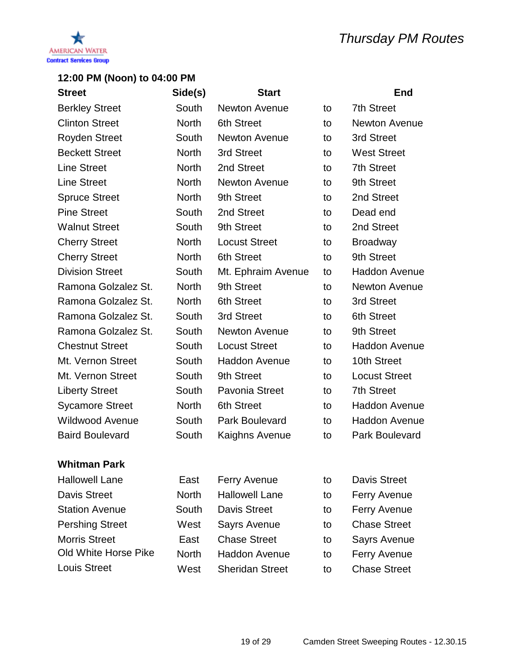

| <b>Street</b>          | Side(s)      | <b>Start</b>          |    | <b>End</b>           |
|------------------------|--------------|-----------------------|----|----------------------|
| <b>Berkley Street</b>  | South        | <b>Newton Avenue</b>  | to | <b>7th Street</b>    |
| <b>Clinton Street</b>  | North        | 6th Street            | to | <b>Newton Avenue</b> |
| <b>Royden Street</b>   | South        | <b>Newton Avenue</b>  | to | 3rd Street           |
| <b>Beckett Street</b>  | <b>North</b> | 3rd Street            | to | <b>West Street</b>   |
| <b>Line Street</b>     | <b>North</b> | 2nd Street            | to | <b>7th Street</b>    |
| <b>Line Street</b>     | <b>North</b> | <b>Newton Avenue</b>  | to | 9th Street           |
| <b>Spruce Street</b>   | <b>North</b> | 9th Street            | to | 2nd Street           |
| <b>Pine Street</b>     | South        | 2nd Street            | to | Dead end             |
| <b>Walnut Street</b>   | South        | 9th Street            | to | 2nd Street           |
| <b>Cherry Street</b>   | <b>North</b> | <b>Locust Street</b>  | to | <b>Broadway</b>      |
| <b>Cherry Street</b>   | <b>North</b> | <b>6th Street</b>     | to | 9th Street           |
| <b>Division Street</b> | South        | Mt. Ephraim Avenue    | to | <b>Haddon Avenue</b> |
| Ramona Golzalez St.    | <b>North</b> | 9th Street            | to | Newton Avenue        |
| Ramona Golzalez St.    | <b>North</b> | 6th Street            | to | 3rd Street           |
| Ramona Golzalez St.    | South        | 3rd Street            | to | <b>6th Street</b>    |
| Ramona Golzalez St.    | South        | <b>Newton Avenue</b>  | to | 9th Street           |
| <b>Chestnut Street</b> | South        | <b>Locust Street</b>  | to | <b>Haddon Avenue</b> |
| Mt. Vernon Street      | South        | <b>Haddon Avenue</b>  | to | 10th Street          |
| Mt. Vernon Street      | South        | 9th Street            | to | <b>Locust Street</b> |
| <b>Liberty Street</b>  | South        | <b>Pavonia Street</b> | to | <b>7th Street</b>    |
| <b>Sycamore Street</b> | <b>North</b> | <b>6th Street</b>     | to | <b>Haddon Avenue</b> |
| <b>Wildwood Avenue</b> | South        | Park Boulevard        | to | <b>Haddon Avenue</b> |
| <b>Baird Boulevard</b> | South        | Kaighns Avenue        | to | Park Boulevard       |
|                        |              |                       |    |                      |
| Whitman Park           |              |                       |    |                      |
| <b>Hallowell Lane</b>  | East         | <b>Ferry Avenue</b>   | to | <b>Davis Street</b>  |
| <b>Davis Street</b>    | <b>North</b> | <b>Hallowell Lane</b> | to | <b>Ferry Avenue</b>  |
| <b>Station Avenue</b>  | South        | <b>Davis Street</b>   | to | <b>Ferry Avenue</b>  |
| <b>Pershing Street</b> | West         | Sayrs Avenue          | to | <b>Chase Street</b>  |

- Morris Street **East** Chase Street to Sayrs Avenue
- Old White Horse Pike North Haddon Avenue to Ferry Avenue
	-
- Louis Street **West** Sheridan Street to Chase Street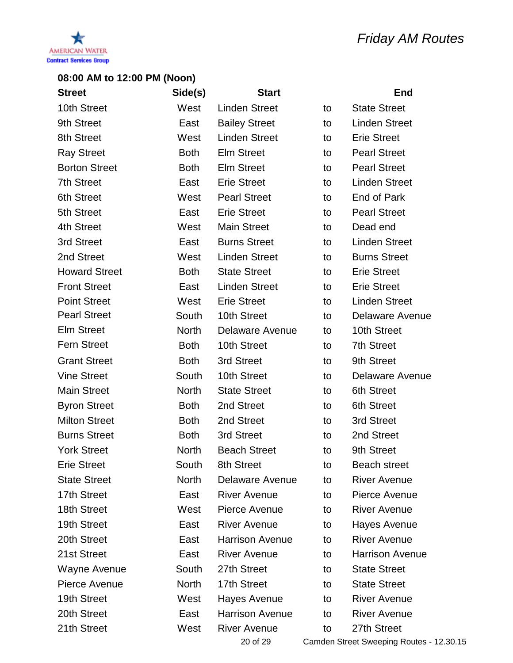

| <b>Street</b>        | Side(s)      | <b>Start</b>           |    | <b>End</b>                       |
|----------------------|--------------|------------------------|----|----------------------------------|
| 10th Street          | West         | <b>Linden Street</b>   | to | <b>State Street</b>              |
| 9th Street           | East         | <b>Bailey Street</b>   | to | <b>Linden Street</b>             |
| 8th Street           | West         | <b>Linden Street</b>   | to | <b>Erie Street</b>               |
| <b>Ray Street</b>    | <b>Both</b>  | <b>Elm Street</b>      | to | <b>Pearl Street</b>              |
| <b>Borton Street</b> | <b>Both</b>  | <b>Elm Street</b>      | to | <b>Pearl Street</b>              |
| <b>7th Street</b>    | East         | <b>Erie Street</b>     | to | <b>Linden Street</b>             |
| <b>6th Street</b>    | West         | <b>Pearl Street</b>    | to | End of Park                      |
| 5th Street           | East         | <b>Erie Street</b>     | to | <b>Pearl Street</b>              |
| 4th Street           | West         | <b>Main Street</b>     | to | Dead end                         |
| 3rd Street           | East         | <b>Burns Street</b>    | to | <b>Linden Street</b>             |
| 2nd Street           | West         | <b>Linden Street</b>   | to | <b>Burns Street</b>              |
| <b>Howard Street</b> | <b>Both</b>  | <b>State Street</b>    | to | <b>Erie Street</b>               |
| <b>Front Street</b>  | East         | <b>Linden Street</b>   | to | <b>Erie Street</b>               |
| <b>Point Street</b>  | West         | <b>Erie Street</b>     | to | <b>Linden Street</b>             |
| <b>Pearl Street</b>  | South        | 10th Street            | to | Delaware Avenue                  |
| <b>Elm Street</b>    | <b>North</b> | <b>Delaware Avenue</b> | to | 10th Street                      |
| <b>Fern Street</b>   | <b>Both</b>  | 10th Street            | to | <b>7th Street</b>                |
| <b>Grant Street</b>  | <b>Both</b>  | 3rd Street             | to | 9th Street                       |
| <b>Vine Street</b>   | South        | 10th Street            | to | Delaware Avenue                  |
| <b>Main Street</b>   | <b>North</b> | <b>State Street</b>    | to | <b>6th Street</b>                |
| <b>Byron Street</b>  | <b>Both</b>  | 2nd Street             | to | <b>6th Street</b>                |
| <b>Milton Street</b> | <b>Both</b>  | 2nd Street             | to | 3rd Street                       |
| <b>Burns Street</b>  | <b>Both</b>  | 3rd Street             | to | 2nd Street                       |
| <b>York Street</b>   | <b>North</b> | <b>Beach Street</b>    | to | 9th Street                       |
| <b>Erie Street</b>   | South        | 8th Street             | to | <b>Beach street</b>              |
| <b>State Street</b>  | <b>North</b> | <b>Delaware Avenue</b> | to | <b>River Avenue</b>              |
| 17th Street          | East         | <b>River Avenue</b>    | to | Pierce Avenue                    |
| 18th Street          | West         | Pierce Avenue          | to | <b>River Avenue</b>              |
| 19th Street          | East         | <b>River Avenue</b>    | to | Hayes Avenue                     |
| 20th Street          | East         | <b>Harrison Avenue</b> | to | <b>River Avenue</b>              |
| 21st Street          | East         | <b>River Avenue</b>    | to | <b>Harrison Avenue</b>           |
| Wayne Avenue         | South        | 27th Street            | to | <b>State Street</b>              |
| Pierce Avenue        | <b>North</b> | 17th Street            | to | <b>State Street</b>              |
| 19th Street          | West         | Hayes Avenue           | to | <b>River Avenue</b>              |
| 20th Street          | East         | <b>Harrison Avenue</b> | to | <b>River Avenue</b>              |
| 21th Street          | West         | <b>River Avenue</b>    | to | 27th Street                      |
|                      |              | 20.652                 |    | Comdon Ctroot Curooping Pouton 1 |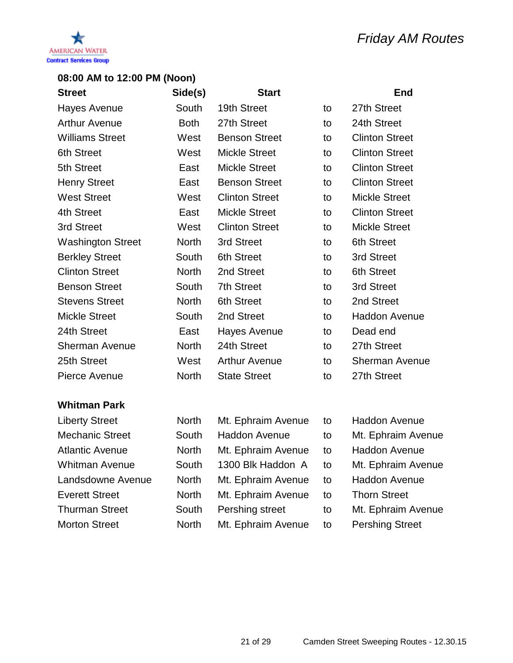

| <b>Street</b>            | Side(s)      | <b>Start</b>          |    | <b>End</b>            |
|--------------------------|--------------|-----------------------|----|-----------------------|
| Hayes Avenue             | South        | 19th Street           | to | 27th Street           |
| <b>Arthur Avenue</b>     | <b>Both</b>  | 27th Street           | to | 24th Street           |
| <b>Williams Street</b>   | West         | <b>Benson Street</b>  | to | <b>Clinton Street</b> |
| <b>6th Street</b>        | West         | <b>Mickle Street</b>  | to | <b>Clinton Street</b> |
| 5th Street               | East         | <b>Mickle Street</b>  | to | <b>Clinton Street</b> |
| <b>Henry Street</b>      | East         | <b>Benson Street</b>  | to | <b>Clinton Street</b> |
| <b>West Street</b>       | West         | <b>Clinton Street</b> | to | <b>Mickle Street</b>  |
| 4th Street               | East         | <b>Mickle Street</b>  | to | <b>Clinton Street</b> |
| 3rd Street               | West         | <b>Clinton Street</b> | to | <b>Mickle Street</b>  |
| <b>Washington Street</b> | <b>North</b> | 3rd Street            | to | 6th Street            |
| <b>Berkley Street</b>    | South        | <b>6th Street</b>     | to | 3rd Street            |
| <b>Clinton Street</b>    | <b>North</b> | 2nd Street            | to | <b>6th Street</b>     |
| <b>Benson Street</b>     | South        | <b>7th Street</b>     | to | 3rd Street            |
| <b>Stevens Street</b>    | <b>North</b> | 6th Street            | to | 2nd Street            |
| <b>Mickle Street</b>     | South        | 2nd Street            | to | <b>Haddon Avenue</b>  |
| 24th Street              | East         | Hayes Avenue          | to | Dead end              |
| Sherman Avenue           | <b>North</b> | 24th Street           | to | 27th Street           |
| 25th Street              | West         | <b>Arthur Avenue</b>  | to | <b>Sherman Avenue</b> |
| Pierce Avenue            | <b>North</b> | <b>State Street</b>   | to | 27th Street           |
|                          |              |                       |    |                       |

| <b>Liberty Street</b>  | <b>North</b> | Mt. Ephraim Avenue | to | <b>Haddon Avenue</b>   |
|------------------------|--------------|--------------------|----|------------------------|
| <b>Mechanic Street</b> | South        | Haddon Avenue      | to | Mt. Ephraim Avenue     |
| <b>Atlantic Avenue</b> | <b>North</b> | Mt. Ephraim Avenue | to | <b>Haddon Avenue</b>   |
| <b>Whitman Avenue</b>  | South        | 1300 Blk Haddon A  | to | Mt. Ephraim Avenue     |
| Landsdowne Avenue      | <b>North</b> | Mt. Ephraim Avenue | to | <b>Haddon Avenue</b>   |
| <b>Everett Street</b>  | <b>North</b> | Mt. Ephraim Avenue | to | <b>Thorn Street</b>    |
| <b>Thurman Street</b>  | South        | Pershing street    | to | Mt. Ephraim Avenue     |
| <b>Morton Street</b>   | <b>North</b> | Mt. Ephraim Avenue | to | <b>Pershing Street</b> |
|                        |              |                    |    |                        |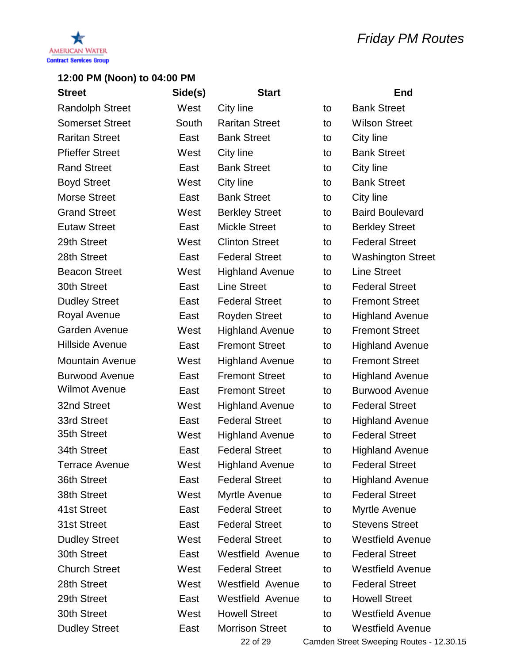



| <b>Street</b>          | Side(s) | <b>Start</b>            |    | End                      |
|------------------------|---------|-------------------------|----|--------------------------|
| <b>Randolph Street</b> | West    | City line               | to | <b>Bank Street</b>       |
| <b>Somerset Street</b> | South   | <b>Raritan Street</b>   | to | <b>Wilson Street</b>     |
| <b>Raritan Street</b>  | East    | <b>Bank Street</b>      | to | City line                |
| <b>Pfieffer Street</b> | West    | City line               | to | <b>Bank Street</b>       |
| <b>Rand Street</b>     | East    | <b>Bank Street</b>      | to | City line                |
| <b>Boyd Street</b>     | West    | City line               | to | <b>Bank Street</b>       |
| <b>Morse Street</b>    | East    | <b>Bank Street</b>      | to | City line                |
| <b>Grand Street</b>    | West    | <b>Berkley Street</b>   | to | <b>Baird Boulevard</b>   |
| <b>Eutaw Street</b>    | East    | <b>Mickle Street</b>    | to | <b>Berkley Street</b>    |
| 29th Street            | West    | <b>Clinton Street</b>   | to | <b>Federal Street</b>    |
| 28th Street            | East    | <b>Federal Street</b>   | to | <b>Washington Street</b> |
| <b>Beacon Street</b>   | West    | <b>Highland Avenue</b>  | to | <b>Line Street</b>       |
| 30th Street            | East    | <b>Line Street</b>      | to | <b>Federal Street</b>    |
| <b>Dudley Street</b>   | East    | <b>Federal Street</b>   | to | <b>Fremont Street</b>    |
| Royal Avenue           | East    | <b>Royden Street</b>    | to | <b>Highland Avenue</b>   |
| <b>Garden Avenue</b>   | West    | <b>Highland Avenue</b>  | to | <b>Fremont Street</b>    |
| <b>Hillside Avenue</b> | East    | <b>Fremont Street</b>   | to | <b>Highland Avenue</b>   |
| <b>Mountain Avenue</b> | West    | <b>Highland Avenue</b>  | to | <b>Fremont Street</b>    |
| <b>Burwood Avenue</b>  | East    | <b>Fremont Street</b>   | to | <b>Highland Avenue</b>   |
| <b>Wilmot Avenue</b>   | East    | <b>Fremont Street</b>   | to | <b>Burwood Avenue</b>    |
| 32nd Street            | West    | <b>Highland Avenue</b>  | to | <b>Federal Street</b>    |
| 33rd Street            | East    | <b>Federal Street</b>   | to | <b>Highland Avenue</b>   |
| 35th Street            | West    | <b>Highland Avenue</b>  | to | <b>Federal Street</b>    |
| 34th Street            | East    | <b>Federal Street</b>   | to | <b>Highland Avenue</b>   |
| Terrace Avenue         | West    | <b>Highland Avenue</b>  | to | <b>Federal Street</b>    |
| 36th Street            | East    | <b>Federal Street</b>   | to | <b>Highland Avenue</b>   |
| 38th Street            | West    | Myrtle Avenue           | to | <b>Federal Street</b>    |
| 41st Street            | East    | <b>Federal Street</b>   | to | Myrtle Avenue            |
| 31st Street            | East    | <b>Federal Street</b>   | to | <b>Stevens Street</b>    |
| <b>Dudley Street</b>   | West    | <b>Federal Street</b>   | to | <b>Westfield Avenue</b>  |
| 30th Street            | East    | Westfield Avenue        | to | <b>Federal Street</b>    |
| <b>Church Street</b>   | West    | <b>Federal Street</b>   | to | <b>Westfield Avenue</b>  |
| 28th Street            | West    | <b>Westfield Avenue</b> | to | <b>Federal Street</b>    |
| 29th Street            | East    | <b>Westfield Avenue</b> | to | <b>Howell Street</b>     |
| 30th Street            | West    | <b>Howell Street</b>    | to | <b>Westfield Avenue</b>  |
| <b>Dudley Street</b>   | East    | <b>Morrison Street</b>  | to | <b>Westfield Avenue</b>  |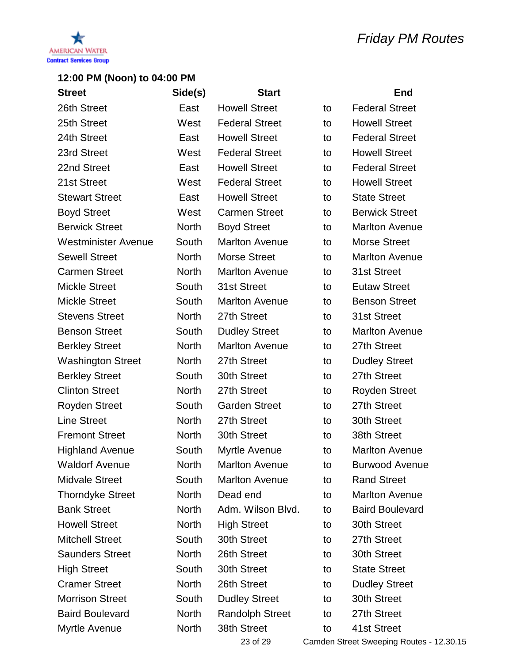

| <b>Street</b>              | Side(s)      | <b>Start</b>           |    | <b>End</b>             |
|----------------------------|--------------|------------------------|----|------------------------|
| 26th Street                | East         | <b>Howell Street</b>   | to | <b>Federal Street</b>  |
| 25th Street                | West         | <b>Federal Street</b>  | to | <b>Howell Street</b>   |
| 24th Street                | East         | <b>Howell Street</b>   | to | <b>Federal Street</b>  |
| 23rd Street                | West         | <b>Federal Street</b>  | to | <b>Howell Street</b>   |
| 22nd Street                | East         | <b>Howell Street</b>   | to | <b>Federal Street</b>  |
| 21st Street                | West         | <b>Federal Street</b>  | to | <b>Howell Street</b>   |
| <b>Stewart Street</b>      | East         | <b>Howell Street</b>   | to | <b>State Street</b>    |
| <b>Boyd Street</b>         | West         | <b>Carmen Street</b>   | to | <b>Berwick Street</b>  |
| <b>Berwick Street</b>      | <b>North</b> | <b>Boyd Street</b>     | to | <b>Marlton Avenue</b>  |
| <b>Westminister Avenue</b> | South        | <b>Marlton Avenue</b>  | to | <b>Morse Street</b>    |
| <b>Sewell Street</b>       | <b>North</b> | <b>Morse Street</b>    | to | <b>Marlton Avenue</b>  |
| <b>Carmen Street</b>       | <b>North</b> | <b>Marlton Avenue</b>  | to | 31st Street            |
| <b>Mickle Street</b>       | South        | 31st Street            | to | <b>Eutaw Street</b>    |
| <b>Mickle Street</b>       | South        | <b>Marlton Avenue</b>  | to | <b>Benson Street</b>   |
| <b>Stevens Street</b>      | <b>North</b> | 27th Street            | to | 31st Street            |
| <b>Benson Street</b>       | South        | <b>Dudley Street</b>   | to | <b>Marlton Avenue</b>  |
| <b>Berkley Street</b>      | <b>North</b> | <b>Marlton Avenue</b>  | to | 27th Street            |
| <b>Washington Street</b>   | <b>North</b> | 27th Street            | to | <b>Dudley Street</b>   |
| <b>Berkley Street</b>      | South        | 30th Street            | to | 27th Street            |
| <b>Clinton Street</b>      | <b>North</b> | 27th Street            | to | <b>Royden Street</b>   |
| <b>Royden Street</b>       | South        | <b>Garden Street</b>   | to | 27th Street            |
| <b>Line Street</b>         | <b>North</b> | 27th Street            | to | 30th Street            |
| <b>Fremont Street</b>      | <b>North</b> | 30th Street            | to | 38th Street            |
| <b>Highland Avenue</b>     | South        | Myrtle Avenue          | to | <b>Marlton Avenue</b>  |
| <b>Waldorf Avenue</b>      | <b>North</b> | <b>Marlton Avenue</b>  | to | <b>Burwood Avenue</b>  |
| <b>Midvale Street</b>      | South        | <b>Marlton Avenue</b>  | to | <b>Rand Street</b>     |
| <b>Thorndyke Street</b>    | <b>North</b> | Dead end               | to | <b>Marlton Avenue</b>  |
| <b>Bank Street</b>         | <b>North</b> | Adm. Wilson Blvd.      | to | <b>Baird Boulevard</b> |
| <b>Howell Street</b>       | <b>North</b> | <b>High Street</b>     | to | 30th Street            |
| <b>Mitchell Street</b>     | South        | 30th Street            | to | 27th Street            |
| <b>Saunders Street</b>     | <b>North</b> | 26th Street            | to | 30th Street            |
| <b>High Street</b>         | South        | 30th Street            | to | <b>State Street</b>    |
| <b>Cramer Street</b>       | <b>North</b> | 26th Street            | to | <b>Dudley Street</b>   |
| <b>Morrison Street</b>     | South        | <b>Dudley Street</b>   | to | 30th Street            |
| <b>Baird Boulevard</b>     | <b>North</b> | <b>Randolph Street</b> | to | 27th Street            |
| Myrtle Avenue              | <b>North</b> | 38th Street            | to | 41st Street            |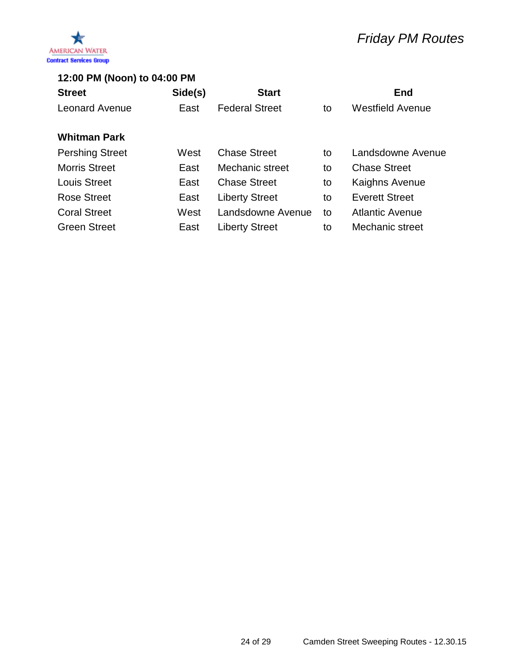

# *Friday PM Routes*

### **12:00 PM (Noon) to 04:00 PM**

| <b>Street</b>          | Side(s) | <b>Start</b>          |    | <b>End</b>              |
|------------------------|---------|-----------------------|----|-------------------------|
| <b>Leonard Avenue</b>  | East    | <b>Federal Street</b> | to | <b>Westfield Avenue</b> |
| <b>Whitman Park</b>    |         |                       |    |                         |
| <b>Pershing Street</b> | West    | <b>Chase Street</b>   | to | Landsdowne Avenue       |
| <b>Morris Street</b>   | East    | Mechanic street       | to | <b>Chase Street</b>     |
| <b>Louis Street</b>    | East    | <b>Chase Street</b>   | to | Kaighns Avenue          |
| <b>Rose Street</b>     | East    | <b>Liberty Street</b> | to | <b>Everett Street</b>   |
| <b>Coral Street</b>    | West    | Landsdowne Avenue     | to | <b>Atlantic Avenue</b>  |
| <b>Green Street</b>    | East    | <b>Liberty Street</b> | to | Mechanic street         |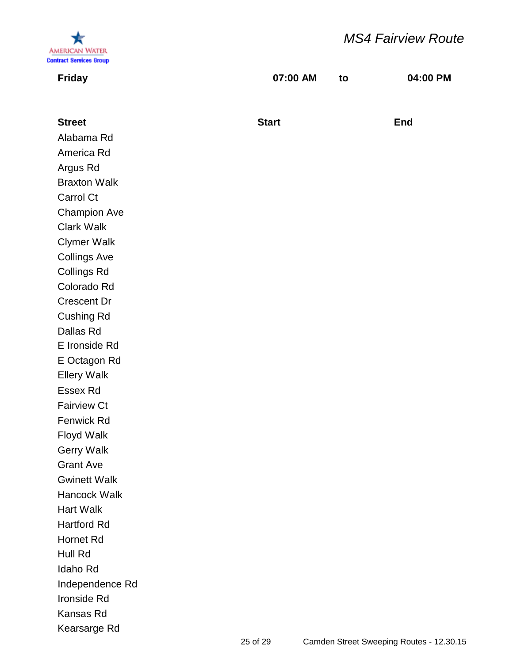

# *MS4 Fairview Route*

| <b>Friday</b>       | 07:00 AM     | to | 04:00 PM   |
|---------------------|--------------|----|------------|
|                     |              |    |            |
| <b>Street</b>       | <b>Start</b> |    | <b>End</b> |
| Alabama Rd          |              |    |            |
| America Rd          |              |    |            |
| Argus Rd            |              |    |            |
| <b>Braxton Walk</b> |              |    |            |
| Carrol Ct           |              |    |            |
| <b>Champion Ave</b> |              |    |            |
| <b>Clark Walk</b>   |              |    |            |
| <b>Clymer Walk</b>  |              |    |            |
| <b>Collings Ave</b> |              |    |            |
| <b>Collings Rd</b>  |              |    |            |
| Colorado Rd         |              |    |            |
| <b>Crescent Dr</b>  |              |    |            |
| <b>Cushing Rd</b>   |              |    |            |
| Dallas Rd           |              |    |            |
| E Ironside Rd       |              |    |            |
| E Octagon Rd        |              |    |            |
| <b>Ellery Walk</b>  |              |    |            |
| <b>Essex Rd</b>     |              |    |            |
| <b>Fairview Ct</b>  |              |    |            |
| Fenwick Rd          |              |    |            |
| <b>Floyd Walk</b>   |              |    |            |
| <b>Gerry Walk</b>   |              |    |            |
| <b>Grant Ave</b>    |              |    |            |
| <b>Gwinett Walk</b> |              |    |            |
| Hancock Walk        |              |    |            |
| <b>Hart Walk</b>    |              |    |            |
| <b>Hartford Rd</b>  |              |    |            |
| <b>Hornet Rd</b>    |              |    |            |
| Hull Rd             |              |    |            |
| Idaho Rd            |              |    |            |
| Independence Rd     |              |    |            |
| Ironside Rd         |              |    |            |
| Kansas Rd           |              |    |            |
| Kearsarge Rd        |              |    |            |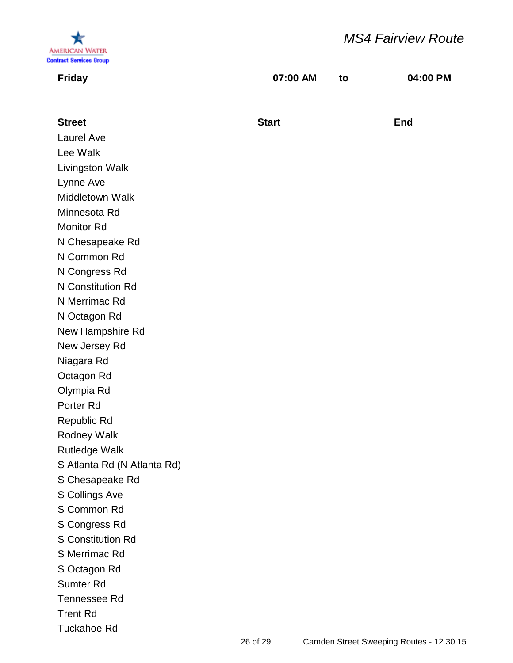

# *MS4 Fairview Route*

| <b>Friday</b>               | 07:00 AM     | to | 04:00 PM   |
|-----------------------------|--------------|----|------------|
|                             |              |    |            |
| <b>Street</b>               | <b>Start</b> |    | <b>End</b> |
| Laurel Ave                  |              |    |            |
| Lee Walk                    |              |    |            |
| Livingston Walk             |              |    |            |
| Lynne Ave                   |              |    |            |
| Middletown Walk             |              |    |            |
| Minnesota Rd                |              |    |            |
| <b>Monitor Rd</b>           |              |    |            |
| N Chesapeake Rd             |              |    |            |
| N Common Rd                 |              |    |            |
| N Congress Rd               |              |    |            |
| N Constitution Rd           |              |    |            |
| N Merrimac Rd               |              |    |            |
| N Octagon Rd                |              |    |            |
| New Hampshire Rd            |              |    |            |
| New Jersey Rd               |              |    |            |
| Niagara Rd                  |              |    |            |
| Octagon Rd                  |              |    |            |
| Olympia Rd                  |              |    |            |
| Porter Rd                   |              |    |            |
| Republic Rd                 |              |    |            |
| Rodney Walk                 |              |    |            |
| <b>Rutledge Walk</b>        |              |    |            |
| S Atlanta Rd (N Atlanta Rd) |              |    |            |
| S Chesapeake Rd             |              |    |            |
| S Collings Ave              |              |    |            |
| S Common Rd                 |              |    |            |
| S Congress Rd               |              |    |            |
| <b>S Constitution Rd</b>    |              |    |            |
| S Merrimac Rd               |              |    |            |
| S Octagon Rd                |              |    |            |
| <b>Sumter Rd</b>            |              |    |            |
| <b>Tennessee Rd</b>         |              |    |            |
| <b>Trent Rd</b>             |              |    |            |
| <b>Tuckahoe Rd</b>          |              |    |            |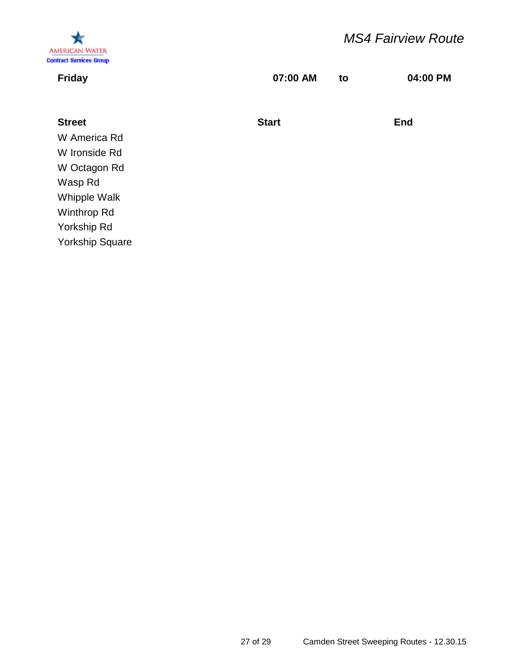

# *MS4 Fairview Route*

| <b>Friday</b>          | 07:00 AM     | to | 04:00 PM   |
|------------------------|--------------|----|------------|
|                        |              |    |            |
| <b>Street</b>          | <b>Start</b> |    | <b>End</b> |
| W America Rd           |              |    |            |
| W Ironside Rd          |              |    |            |
| W Octagon Rd           |              |    |            |
| Wasp Rd                |              |    |            |
| Whipple Walk           |              |    |            |
| Winthrop Rd            |              |    |            |
| Yorkship Rd            |              |    |            |
| <b>Yorkship Square</b> |              |    |            |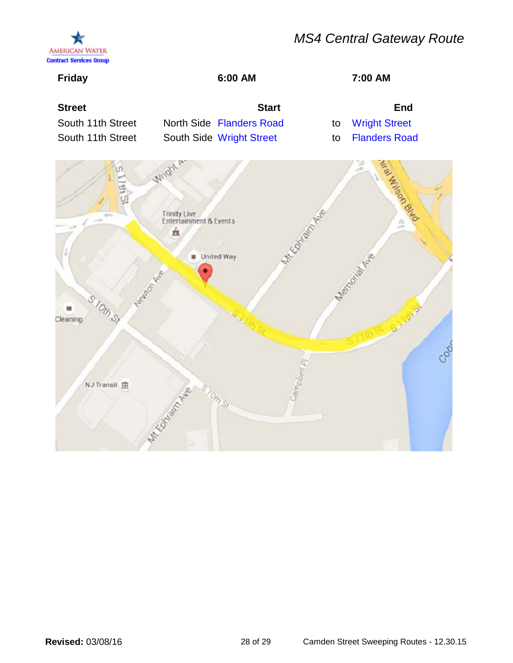# *MS4 Central Gateway Route*



| <b>Friday</b>                                           | 6:00 AM                                                                                        |          | 7:00 AM                                             |   |
|---------------------------------------------------------|------------------------------------------------------------------------------------------------|----------|-----------------------------------------------------|---|
| <b>Street</b><br>South 11th Street<br>South 11th Street | <b>Start</b><br>North Side Flanders Road<br>South Side Wright Street                           | to<br>to | End<br><b>Wright Street</b><br><b>Flanders Road</b> |   |
| S TOUD ST<br>Cleaning                                   | Wright A<br>Trinity Live<br>Entertainment & Events<br><b>KAMPATA</b><br>血<br><b>United Way</b> |          | encourage                                           |   |
| N.J Transit                                             |                                                                                                |          |                                                     | ි |